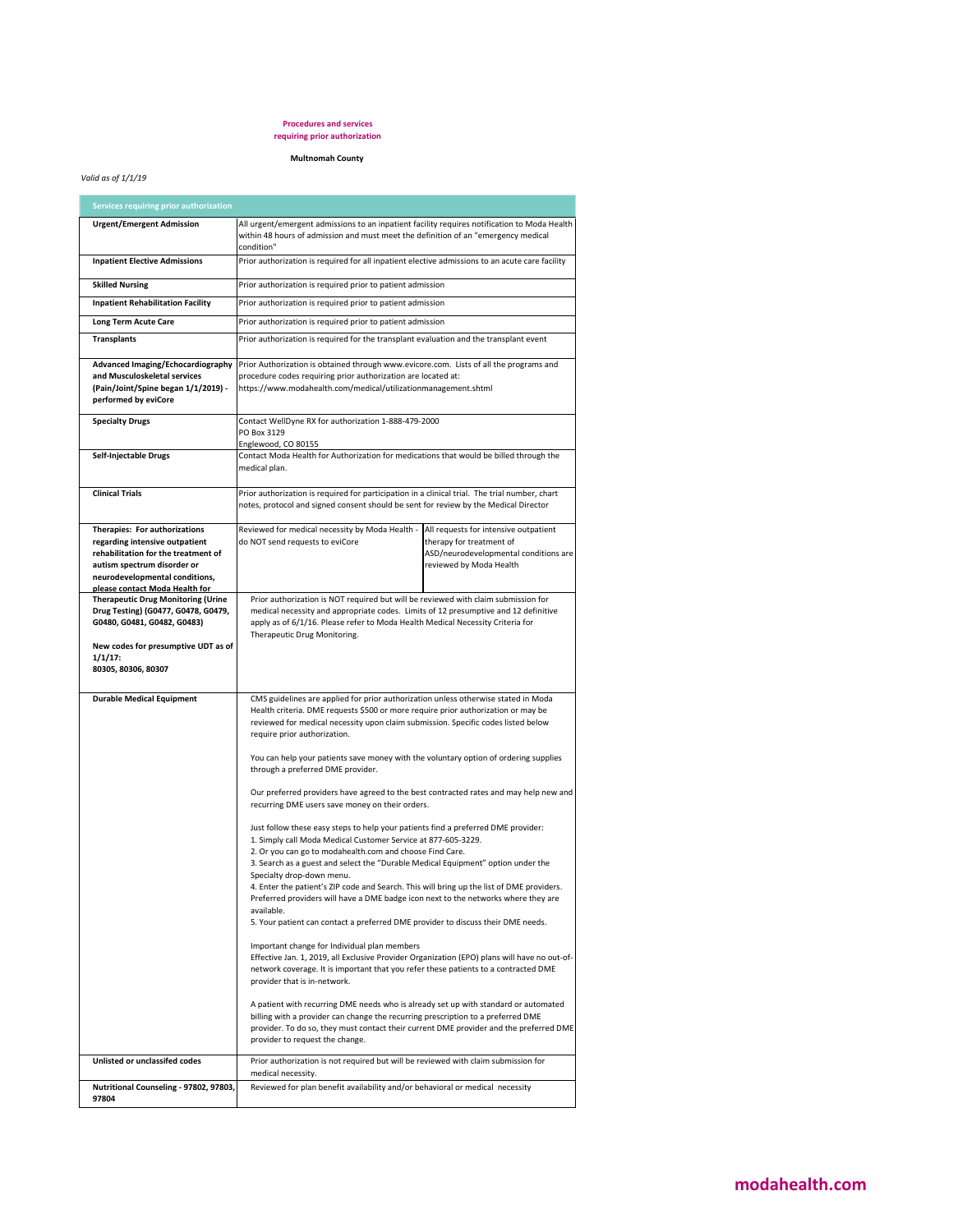## **Procedures and services requiring prior authorization**

## **Multnomah County**

## *Valid as of 1/1/19*

| Services requiring prior authorization                                                                                                                                                                    |                                                                                                                                                                                                                                                                                                                                                                                                                                                                                                                                                                                                                                                                                                                                                                                                                                                                                                                                                                                                                                                                                                                                                                                                                                                                                                                                                                                                                                                                                                                                                                                                                                                                                                                                           |                                                                                                                                       |  |  |
|-----------------------------------------------------------------------------------------------------------------------------------------------------------------------------------------------------------|-------------------------------------------------------------------------------------------------------------------------------------------------------------------------------------------------------------------------------------------------------------------------------------------------------------------------------------------------------------------------------------------------------------------------------------------------------------------------------------------------------------------------------------------------------------------------------------------------------------------------------------------------------------------------------------------------------------------------------------------------------------------------------------------------------------------------------------------------------------------------------------------------------------------------------------------------------------------------------------------------------------------------------------------------------------------------------------------------------------------------------------------------------------------------------------------------------------------------------------------------------------------------------------------------------------------------------------------------------------------------------------------------------------------------------------------------------------------------------------------------------------------------------------------------------------------------------------------------------------------------------------------------------------------------------------------------------------------------------------------|---------------------------------------------------------------------------------------------------------------------------------------|--|--|
| <b>Urgent/Emergent Admission</b>                                                                                                                                                                          | All urgent/emergent admissions to an inpatient facility requires notification to Moda Health<br>within 48 hours of admission and must meet the definition of an "emergency medical<br>condition"                                                                                                                                                                                                                                                                                                                                                                                                                                                                                                                                                                                                                                                                                                                                                                                                                                                                                                                                                                                                                                                                                                                                                                                                                                                                                                                                                                                                                                                                                                                                          |                                                                                                                                       |  |  |
| <b>Inpatient Elective Admissions</b>                                                                                                                                                                      | Prior authorization is required for all inpatient elective admissions to an acute care facility                                                                                                                                                                                                                                                                                                                                                                                                                                                                                                                                                                                                                                                                                                                                                                                                                                                                                                                                                                                                                                                                                                                                                                                                                                                                                                                                                                                                                                                                                                                                                                                                                                           |                                                                                                                                       |  |  |
| <b>Skilled Nursing</b>                                                                                                                                                                                    | Prior authorization is required prior to patient admission                                                                                                                                                                                                                                                                                                                                                                                                                                                                                                                                                                                                                                                                                                                                                                                                                                                                                                                                                                                                                                                                                                                                                                                                                                                                                                                                                                                                                                                                                                                                                                                                                                                                                |                                                                                                                                       |  |  |
| <b>Inpatient Rehabilitation Facility</b>                                                                                                                                                                  | Prior authorization is required prior to patient admission                                                                                                                                                                                                                                                                                                                                                                                                                                                                                                                                                                                                                                                                                                                                                                                                                                                                                                                                                                                                                                                                                                                                                                                                                                                                                                                                                                                                                                                                                                                                                                                                                                                                                |                                                                                                                                       |  |  |
| <b>Long Term Acute Care</b>                                                                                                                                                                               | Prior authorization is required prior to patient admission                                                                                                                                                                                                                                                                                                                                                                                                                                                                                                                                                                                                                                                                                                                                                                                                                                                                                                                                                                                                                                                                                                                                                                                                                                                                                                                                                                                                                                                                                                                                                                                                                                                                                |                                                                                                                                       |  |  |
| <b>Transplants</b>                                                                                                                                                                                        | Prior authorization is required for the transplant evaluation and the transplant event                                                                                                                                                                                                                                                                                                                                                                                                                                                                                                                                                                                                                                                                                                                                                                                                                                                                                                                                                                                                                                                                                                                                                                                                                                                                                                                                                                                                                                                                                                                                                                                                                                                    |                                                                                                                                       |  |  |
| Advanced Imaging/Echocardiography<br>and Musculoskeletal services<br>(Pain/Joint/Spine began 1/1/2019) -<br>performed by eviCore                                                                          | Prior Authorization is obtained through www.evicore.com. Lists of all the programs and<br>procedure codes requiring prior authorization are located at:<br>https://www.modahealth.com/medical/utilizationmanagement.shtml                                                                                                                                                                                                                                                                                                                                                                                                                                                                                                                                                                                                                                                                                                                                                                                                                                                                                                                                                                                                                                                                                                                                                                                                                                                                                                                                                                                                                                                                                                                 |                                                                                                                                       |  |  |
| <b>Specialty Drugs</b>                                                                                                                                                                                    | Contact WellDyne RX for authorization 1-888-479-2000<br>PO Box 3129<br>Englewood, CO 80155                                                                                                                                                                                                                                                                                                                                                                                                                                                                                                                                                                                                                                                                                                                                                                                                                                                                                                                                                                                                                                                                                                                                                                                                                                                                                                                                                                                                                                                                                                                                                                                                                                                |                                                                                                                                       |  |  |
| Self-Injectable Drugs                                                                                                                                                                                     | Contact Moda Health for Authorization for medications that would be billed through the<br>medical plan.                                                                                                                                                                                                                                                                                                                                                                                                                                                                                                                                                                                                                                                                                                                                                                                                                                                                                                                                                                                                                                                                                                                                                                                                                                                                                                                                                                                                                                                                                                                                                                                                                                   |                                                                                                                                       |  |  |
| <b>Clinical Trials</b>                                                                                                                                                                                    | Prior authorization is required for participation in a clinical trial. The trial number, chart<br>notes, protocol and signed consent should be sent for review by the Medical Director                                                                                                                                                                                                                                                                                                                                                                                                                                                                                                                                                                                                                                                                                                                                                                                                                                                                                                                                                                                                                                                                                                                                                                                                                                                                                                                                                                                                                                                                                                                                                    |                                                                                                                                       |  |  |
| Therapies: For authorizations<br>regarding intensive outpatient<br>rehabilitation for the treatment of<br>autism spectrum disorder or<br>neurodevelopmental conditions,<br>please contact Moda Health for | Reviewed for medical necessity by Moda Health -<br>do NOT send requests to eviCore                                                                                                                                                                                                                                                                                                                                                                                                                                                                                                                                                                                                                                                                                                                                                                                                                                                                                                                                                                                                                                                                                                                                                                                                                                                                                                                                                                                                                                                                                                                                                                                                                                                        | All requests for intensive outpatient<br>therapy for treatment of<br>ASD/neurodevelopmental conditions are<br>reviewed by Moda Health |  |  |
| <b>Therapeutic Drug Monitoring (Urine</b>                                                                                                                                                                 | Prior authorization is NOT required but will be reviewed with claim submission for                                                                                                                                                                                                                                                                                                                                                                                                                                                                                                                                                                                                                                                                                                                                                                                                                                                                                                                                                                                                                                                                                                                                                                                                                                                                                                                                                                                                                                                                                                                                                                                                                                                        |                                                                                                                                       |  |  |
| Drug Testing) (G0477, G0478, G0479,<br>G0480, G0481, G0482, G0483)<br>New codes for presumptive UDT as of<br>$1/1/17$ :<br>80305, 80306, 80307                                                            | medical necessity and appropriate codes. Limits of 12 presumptive and 12 definitive<br>apply as of 6/1/16. Please refer to Moda Health Medical Necessity Criteria for<br>Therapeutic Drug Monitoring.                                                                                                                                                                                                                                                                                                                                                                                                                                                                                                                                                                                                                                                                                                                                                                                                                                                                                                                                                                                                                                                                                                                                                                                                                                                                                                                                                                                                                                                                                                                                     |                                                                                                                                       |  |  |
| <b>Durable Medical Equipment</b>                                                                                                                                                                          | CMS guidelines are applied for prior authorization unless otherwise stated in Moda<br>Health criteria. DME requests \$500 or more require prior authorization or may be<br>reviewed for medical necessity upon claim submission. Specific codes listed below<br>require prior authorization.<br>You can help your patients save money with the voluntary option of ordering supplies<br>through a preferred DME provider.<br>Our preferred providers have agreed to the best contracted rates and may help new and<br>recurring DME users save money on their orders.<br>Just follow these easy steps to help your patients find a preferred DME provider:<br>1. Simply call Moda Medical Customer Service at 877-605-3229.<br>2. Or you can go to modahealth.com and choose Find Care.<br>3. Search as a guest and select the "Durable Medical Equipment" option under the<br>Specialty drop-down menu.<br>4. Enter the patient's ZIP code and Search. This will bring up the list of DME providers.<br>Preferred providers will have a DME badge icon next to the networks where they are<br>available.<br>5. Your patient can contact a preferred DME provider to discuss their DME needs.<br>Important change for Individual plan members<br>Effective Jan. 1, 2019, all Exclusive Provider Organization (EPO) plans will have no out-of-<br>network coverage. It is important that you refer these patients to a contracted DME<br>provider that is in-network.<br>A patient with recurring DME needs who is already set up with standard or automated<br>billing with a provider can change the recurring prescription to a preferred DME<br>provider. To do so, they must contact their current DME provider and the preferred DME |                                                                                                                                       |  |  |
| Unlisted or unclassifed codes                                                                                                                                                                             | provider to request the change.<br>Prior authorization is not required but will be reviewed with claim submission for                                                                                                                                                                                                                                                                                                                                                                                                                                                                                                                                                                                                                                                                                                                                                                                                                                                                                                                                                                                                                                                                                                                                                                                                                                                                                                                                                                                                                                                                                                                                                                                                                     |                                                                                                                                       |  |  |
|                                                                                                                                                                                                           | medical necessity.                                                                                                                                                                                                                                                                                                                                                                                                                                                                                                                                                                                                                                                                                                                                                                                                                                                                                                                                                                                                                                                                                                                                                                                                                                                                                                                                                                                                                                                                                                                                                                                                                                                                                                                        |                                                                                                                                       |  |  |
| Nutritional Counseling - 97802, 97803,<br>97804                                                                                                                                                           | Reviewed for plan benefit availability and/or behavioral or medical necessity                                                                                                                                                                                                                                                                                                                                                                                                                                                                                                                                                                                                                                                                                                                                                                                                                                                                                                                                                                                                                                                                                                                                                                                                                                                                                                                                                                                                                                                                                                                                                                                                                                                             |                                                                                                                                       |  |  |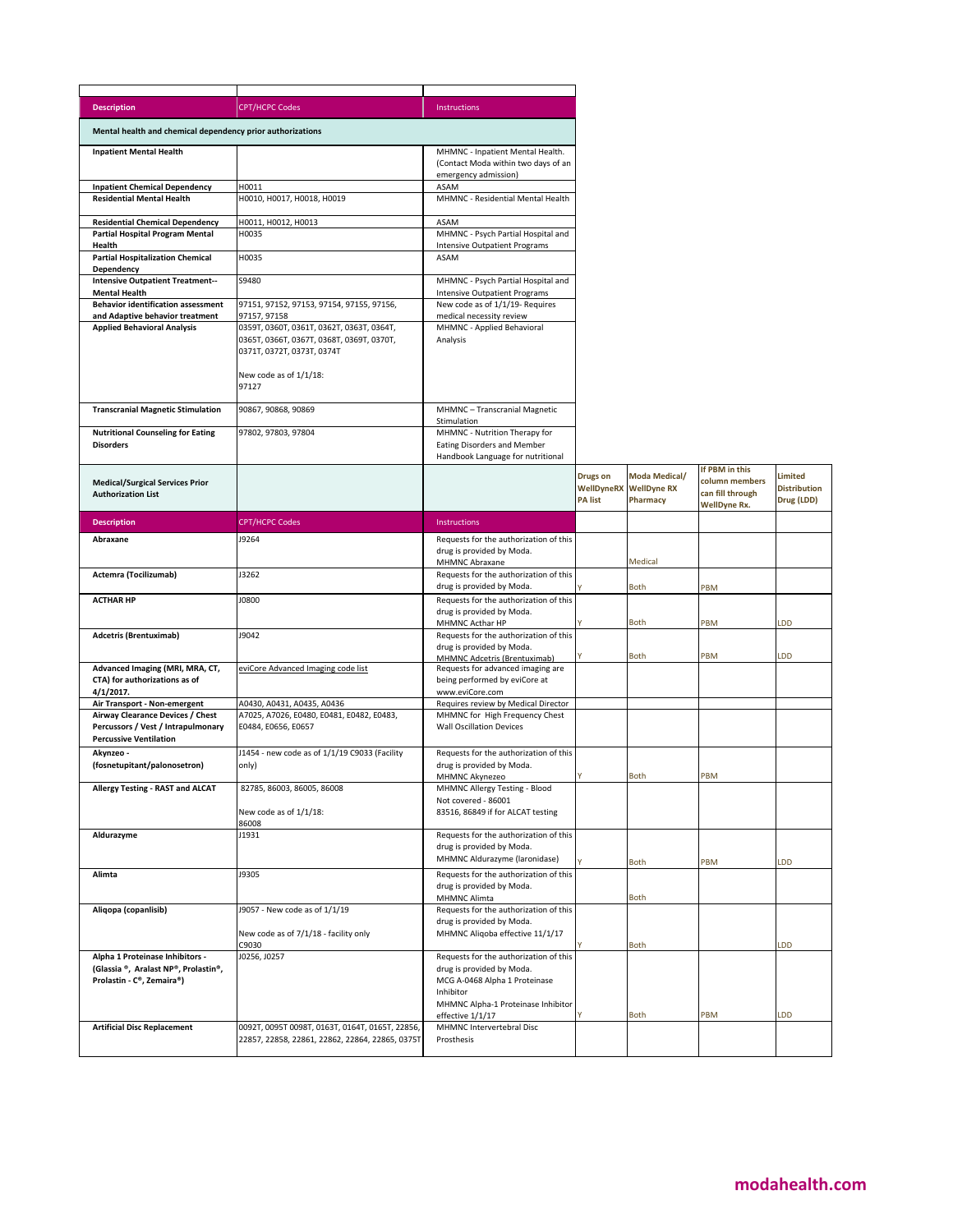| <b>Description</b>                                                                                      | <b>CPT/HCPC Codes</b>                                                                                                                                   | <b>Instructions</b>                                                                                              |                                   |                                                            |                                                                             |                                              |
|---------------------------------------------------------------------------------------------------------|---------------------------------------------------------------------------------------------------------------------------------------------------------|------------------------------------------------------------------------------------------------------------------|-----------------------------------|------------------------------------------------------------|-----------------------------------------------------------------------------|----------------------------------------------|
| Mental health and chemical dependency prior authorizations                                              |                                                                                                                                                         |                                                                                                                  |                                   |                                                            |                                                                             |                                              |
| <b>Inpatient Mental Health</b>                                                                          |                                                                                                                                                         | MHMNC - Inpatient Mental Health.<br>(Contact Moda within two days of an<br>emergency admission)                  |                                   |                                                            |                                                                             |                                              |
| <b>Inpatient Chemical Dependency</b><br><b>Residential Mental Health</b>                                | H0011<br>H0010, H0017, H0018, H0019                                                                                                                     | ASAM<br>MHMNC - Residential Mental Health                                                                        |                                   |                                                            |                                                                             |                                              |
|                                                                                                         |                                                                                                                                                         |                                                                                                                  |                                   |                                                            |                                                                             |                                              |
| <b>Residential Chemical Dependency</b>                                                                  | H0011, H0012, H0013                                                                                                                                     | ASAM                                                                                                             |                                   |                                                            |                                                                             |                                              |
| Partial Hospital Program Mental<br>Health                                                               | H0035                                                                                                                                                   | MHMNC - Psych Partial Hospital and                                                                               |                                   |                                                            |                                                                             |                                              |
| <b>Partial Hospitalization Chemical</b>                                                                 | H0035                                                                                                                                                   | <b>Intensive Outpatient Programs</b><br>ASAM                                                                     |                                   |                                                            |                                                                             |                                              |
| Dependency                                                                                              |                                                                                                                                                         |                                                                                                                  |                                   |                                                            |                                                                             |                                              |
| <b>Intensive Outpatient Treatment--</b>                                                                 | S9480                                                                                                                                                   | MHMNC - Psych Partial Hospital and                                                                               |                                   |                                                            |                                                                             |                                              |
| <b>Mental Health</b><br><b>Behavior identification assessment</b>                                       | 97151, 97152, 97153, 97154, 97155, 97156,                                                                                                               | <b>Intensive Outpatient Programs</b><br>New code as of 1/1/19- Requires                                          |                                   |                                                            |                                                                             |                                              |
| and Adaptive behavior treatment                                                                         | 97157, 97158                                                                                                                                            | medical necessity review                                                                                         |                                   |                                                            |                                                                             |                                              |
| <b>Applied Behavioral Analysis</b>                                                                      | 0359T, 0360T, 0361T, 0362T, 0363T, 0364T,<br>0365T, 0366T, 0367T, 0368T, 0369T, 0370T,<br>0371T, 0372T, 0373T, 0374T<br>New code as of 1/1/18:<br>97127 | MHMNC - Applied Behavioral<br>Analysis                                                                           |                                   |                                                            |                                                                             |                                              |
|                                                                                                         |                                                                                                                                                         |                                                                                                                  |                                   |                                                            |                                                                             |                                              |
| <b>Transcranial Magnetic Stimulation</b>                                                                | 90867, 90868, 90869                                                                                                                                     | MHMNC - Transcranial Magnetic                                                                                    |                                   |                                                            |                                                                             |                                              |
| <b>Nutritional Counseling for Eating</b><br><b>Disorders</b>                                            | 97802, 97803, 97804                                                                                                                                     | Stimulation<br>MHMNC - Nutrition Therapy for<br>Eating Disorders and Member<br>Handbook Language for nutritional |                                   |                                                            |                                                                             |                                              |
| <b>Medical/Surgical Services Prior</b><br><b>Authorization List</b>                                     |                                                                                                                                                         |                                                                                                                  | <b>Drugs on</b><br><b>PA list</b> | Moda Medical/<br><b>WellDyneRX</b> WellDyne RX<br>Pharmacy | If PBM in this<br>column members<br>can fill through<br><b>WellDyne Rx.</b> | Limited<br><b>Distribution</b><br>Drug (LDD) |
| <b>Description</b>                                                                                      | <b>CPT/HCPC Codes</b>                                                                                                                                   | <b>Instructions</b>                                                                                              |                                   |                                                            |                                                                             |                                              |
| Abraxane                                                                                                | J9264                                                                                                                                                   | Requests for the authorization of this                                                                           |                                   |                                                            |                                                                             |                                              |
|                                                                                                         |                                                                                                                                                         | drug is provided by Moda.<br>MHMNC Abraxane                                                                      |                                   | Medical                                                    |                                                                             |                                              |
| Actemra (Tocilizumab)                                                                                   | J3262                                                                                                                                                   | Requests for the authorization of this<br>drug is provided by Moda.                                              |                                   | <b>Both</b>                                                | PBM                                                                         |                                              |
| <b>ACTHAR HP</b>                                                                                        | J0800                                                                                                                                                   | Requests for the authorization of this<br>drug is provided by Moda.                                              |                                   |                                                            |                                                                             |                                              |
|                                                                                                         |                                                                                                                                                         | MHMNC Acthar HP                                                                                                  |                                   | <b>Both</b>                                                | PBM                                                                         | <b>DD</b>                                    |
| <b>Adcetris (Brentuximab)</b>                                                                           | J9042                                                                                                                                                   | Requests for the authorization of this<br>drug is provided by Moda.<br>MHMNC Adcetris (Brentuximab)              |                                   | <b>Both</b>                                                | PBM                                                                         | <b>DD</b>                                    |
| Advanced Imaging (MRI, MRA, CT,<br>CTA) for authorizations as of<br>4/1/2017.                           | eviCore Advanced Imaging code list                                                                                                                      | Requests for advanced imaging are<br>being performed by eviCore at<br>www.eviCore.com                            |                                   |                                                            |                                                                             |                                              |
| Air Transport - Non-emergent                                                                            | A0430, A0431, A0435, A0436                                                                                                                              | Requires review by Medical Director                                                                              |                                   |                                                            |                                                                             |                                              |
| Airway Clearance Devices / Chest<br>Percussors / Vest / Intrapulmonary<br><b>Percussive Ventilation</b> | A7025, A7026, E0480, E0481, E0482, E0483,<br>E0484, E0656, E0657                                                                                        | MHMNC for High Frequency Chest<br><b>Wall Oscillation Devices</b>                                                |                                   |                                                            |                                                                             |                                              |
| Akynzeo -<br>(fosnetupitant/palonosetron)                                                               | J1454 - new code as of 1/1/19 C9033 (Facility<br>only)                                                                                                  | Requests for the authorization of this<br>drug is provided by Moda.<br>MHMNC Akynezeo                            |                                   | <b>Both</b>                                                | PBM                                                                         |                                              |
| Allergy Testing - RAST and ALCAT                                                                        | 82785, 86003, 86005, 86008<br>New code as of 1/1/18:                                                                                                    | MHMNC Allergy Testing - Blood<br>Not covered - 86001<br>83516, 86849 if for ALCAT testing                        |                                   |                                                            |                                                                             |                                              |
| Aldurazyme                                                                                              | 86008<br>J1931                                                                                                                                          | Requests for the authorization of this                                                                           |                                   |                                                            |                                                                             |                                              |
|                                                                                                         |                                                                                                                                                         | drug is provided by Moda.<br>MHMNC Aldurazyme (laronidase)                                                       |                                   | <b>Both</b>                                                | PBM                                                                         | LDD                                          |
| Alimta                                                                                                  | J9305                                                                                                                                                   | Requests for the authorization of this<br>drug is provided by Moda.<br><b>MHMNC Alimta</b>                       |                                   | Both                                                       |                                                                             |                                              |
| Aligopa (copanlisib)                                                                                    | J9057 - New code as of 1/1/19                                                                                                                           | Requests for the authorization of this                                                                           |                                   |                                                            |                                                                             |                                              |
|                                                                                                         | New code as of 7/1/18 - facility only                                                                                                                   | drug is provided by Moda.<br>MHMNC Aligoba effective 11/1/17                                                     |                                   |                                                            |                                                                             |                                              |
| Alpha 1 Proteinase Inhibitors -                                                                         | C9030<br>J0256, J0257                                                                                                                                   | Requests for the authorization of this                                                                           |                                   | Both                                                       |                                                                             | LDD                                          |
| (Glassia ®, Aralast NP®, Prolastin®,<br>Prolastin - C®, Zemaira®)                                       |                                                                                                                                                         | drug is provided by Moda.<br>MCG A-0468 Alpha 1 Proteinase<br>Inhibitor<br>MHMNC Alpha-1 Proteinase Inhibitor    |                                   |                                                            |                                                                             |                                              |
| <b>Artificial Disc Replacement</b>                                                                      | 0092T, 0095T 0098T, 0163T, 0164T, 0165T, 22856,                                                                                                         | effective 1/1/17<br>MHMNC Intervertebral Disc                                                                    |                                   | Both                                                       | PBM                                                                         | LDD                                          |
|                                                                                                         | 22857, 22858, 22861, 22862, 22864, 22865, 0375T                                                                                                         | Prosthesis                                                                                                       |                                   |                                                            |                                                                             |                                              |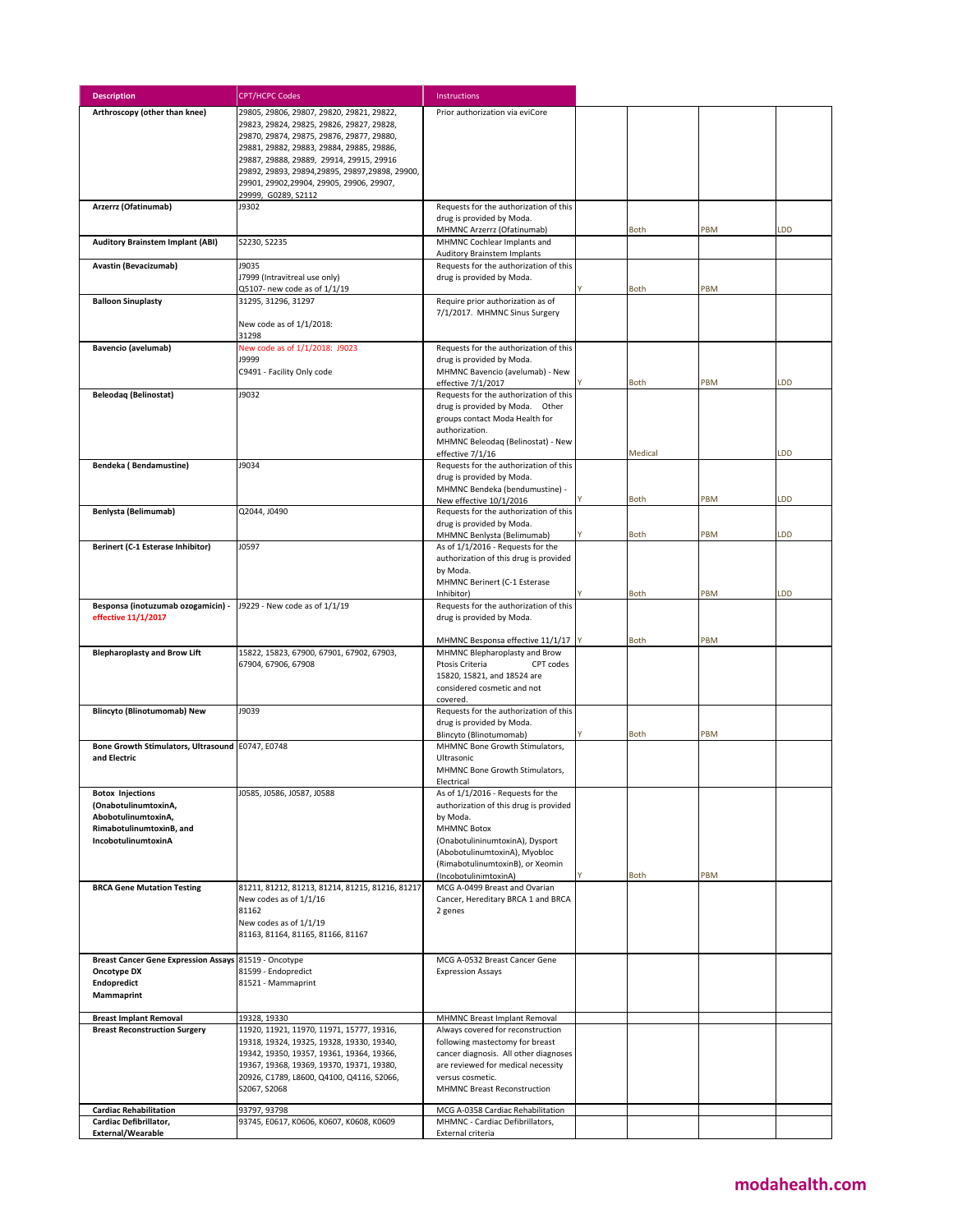| <b>Description</b>                                                   | <b>CPT/HCPC Codes</b>                                                                                                                                                                                                                                                            | <b>Instructions</b>                                                                                                                                                                                    |             |     |           |
|----------------------------------------------------------------------|----------------------------------------------------------------------------------------------------------------------------------------------------------------------------------------------------------------------------------------------------------------------------------|--------------------------------------------------------------------------------------------------------------------------------------------------------------------------------------------------------|-------------|-----|-----------|
| Arthroscopy (other than knee)                                        | 29805, 29806, 29807, 29820, 29821, 29822,<br>29823, 29824, 29825, 29826, 29827, 29828,<br>29870, 29874, 29875, 29876, 29877, 29880,<br>29881, 29882, 29883, 29884, 29885, 29886,<br>29887, 29888, 29889, 29914, 29915, 29916<br>29892, 29893, 29894, 29895, 29897, 29898, 29900, | Prior authorization via eviCore                                                                                                                                                                        |             |     |           |
|                                                                      | 29901, 29902, 29904, 29905, 29906, 29907,<br>29999, G0289, S2112                                                                                                                                                                                                                 |                                                                                                                                                                                                        |             |     |           |
| Arzerrz (Ofatinumab)                                                 | J9302                                                                                                                                                                                                                                                                            | Requests for the authorization of this                                                                                                                                                                 |             |     |           |
|                                                                      |                                                                                                                                                                                                                                                                                  | drug is provided by Moda.<br>MHMNC Arzerrz (Ofatinumab)                                                                                                                                                | Both        | PBM | LDD       |
| <b>Auditory Brainstem Implant (ABI)</b>                              | S2230, S2235                                                                                                                                                                                                                                                                     | MHMNC Cochlear Implants and<br><b>Auditory Brainstem Implants</b>                                                                                                                                      |             |     |           |
| Avastin (Bevacizumab)                                                | J9035<br>J7999 (Intravitreal use only)<br>Q5107- new code as of 1/1/19                                                                                                                                                                                                           | Requests for the authorization of this<br>drug is provided by Moda.                                                                                                                                    | <b>Both</b> | PBM |           |
| <b>Balloon Sinuplasty</b>                                            | 31295, 31296, 31297                                                                                                                                                                                                                                                              | Require prior authorization as of                                                                                                                                                                      |             |     |           |
|                                                                      | New code as of 1/1/2018:<br>31298                                                                                                                                                                                                                                                | 7/1/2017. MHMNC Sinus Surgery                                                                                                                                                                          |             |     |           |
| <b>Bavencio (avelumab)</b>                                           | New code as of 1/1/2018: J9023                                                                                                                                                                                                                                                   | Requests for the authorization of this                                                                                                                                                                 |             |     |           |
|                                                                      | <b>J9999</b><br>C9491 - Facility Only code                                                                                                                                                                                                                                       | drug is provided by Moda.<br>MHMNC Bavencio (avelumab) - New                                                                                                                                           |             |     |           |
| <b>Beleodag (Belinostat)</b>                                         | J9032                                                                                                                                                                                                                                                                            | effective 7/1/2017<br>Requests for the authorization of this                                                                                                                                           | <b>Both</b> | PBM | <b>DD</b> |
|                                                                      |                                                                                                                                                                                                                                                                                  | drug is provided by Moda. Other<br>groups contact Moda Health for<br>authorization.<br>MHMNC Beleodag (Belinostat) - New<br>effective 7/1/16                                                           | Medical     |     | <b>DD</b> |
| Bendeka (Bendamustine)                                               | J9034                                                                                                                                                                                                                                                                            | Requests for the authorization of this<br>drug is provided by Moda.<br>MHMNC Bendeka (bendumustine) -                                                                                                  |             |     |           |
| Benlysta (Belimumab)                                                 | Q2044, J0490                                                                                                                                                                                                                                                                     | New effective 10/1/2016<br>Requests for the authorization of this                                                                                                                                      | <b>Both</b> | PBM | LDD       |
|                                                                      |                                                                                                                                                                                                                                                                                  | drug is provided by Moda.                                                                                                                                                                              |             |     |           |
| Berinert (C-1 Esterase Inhibitor)                                    | J0597                                                                                                                                                                                                                                                                            | MHMNC Benlysta (Belimumab)<br>As of 1/1/2016 - Requests for the                                                                                                                                        | <b>Both</b> | PBM | <b>DD</b> |
|                                                                      |                                                                                                                                                                                                                                                                                  | authorization of this drug is provided<br>by Moda.<br>MHMNC Berinert (C-1 Esterase                                                                                                                     |             |     |           |
|                                                                      |                                                                                                                                                                                                                                                                                  | Inhibitor)                                                                                                                                                                                             | <b>Both</b> | PBM | <b>DD</b> |
| Besponsa (inotuzumab ozogamicin) -<br>effective 11/1/2017            | J9229 - New code as of 1/1/19                                                                                                                                                                                                                                                    | Requests for the authorization of this<br>drug is provided by Moda.                                                                                                                                    |             |     |           |
| <b>Blepharoplasty and Brow Lift</b>                                  | 15822, 15823, 67900, 67901, 67902, 67903,                                                                                                                                                                                                                                        | MHMNC Besponsa effective 11/1/17<br>MHMNC Blepharoplasty and Brow                                                                                                                                      | Both        | PBM |           |
|                                                                      | 67904, 67906, 67908                                                                                                                                                                                                                                                              | CPT codes<br>Ptosis Criteria<br>15820, 15821, and 18524 are<br>considered cosmetic and not<br>covered.                                                                                                 |             |     |           |
| <b>Blincyto (Blinotumomab) New</b>                                   | J9039                                                                                                                                                                                                                                                                            | Requests for the authorization of this<br>drug is provided by Moda.                                                                                                                                    |             |     |           |
| Bone Growth Stimulators, Ultrasound E0747, E0748                     |                                                                                                                                                                                                                                                                                  | Blincyto (Blinotumomab)<br>MHMNC Bone Growth Stimulators,                                                                                                                                              | Both        | PBM |           |
| and Electric                                                         |                                                                                                                                                                                                                                                                                  | Ultrasonic<br>MHMNC Bone Growth Stimulators,<br>Electrical                                                                                                                                             |             |     |           |
| <b>Botox Injections</b><br>(OnabotulinumtoxinA,                      | J0585, J0586, J0587, J0588                                                                                                                                                                                                                                                       | As of 1/1/2016 - Requests for the<br>authorization of this drug is provided                                                                                                                            |             |     |           |
| AbobotulinumtoxinA,                                                  |                                                                                                                                                                                                                                                                                  | by Moda.                                                                                                                                                                                               |             |     |           |
| RimabotulinumtoxinB, and<br>IncobotulinumtoxinA                      |                                                                                                                                                                                                                                                                                  | <b>MHMNC Botox</b><br>(OnabotulininumtoxinA), Dysport<br>(AbobotulinumtoxinA), Myobloc                                                                                                                 |             |     |           |
|                                                                      |                                                                                                                                                                                                                                                                                  | (RimabotulinumtoxinB), or Xeomin<br>(IncobotulinimtoxinA)                                                                                                                                              | <b>Both</b> | PBM |           |
| <b>BRCA Gene Mutation Testing</b>                                    | 81211, 81212, 81213, 81214, 81215, 81216, 81217<br>New codes as of 1/1/16<br>81162                                                                                                                                                                                               | MCG A-0499 Breast and Ovarian<br>Cancer, Hereditary BRCA 1 and BRCA<br>2 genes                                                                                                                         |             |     |           |
|                                                                      | New codes as of 1/1/19<br>81163, 81164, 81165, 81166, 81167                                                                                                                                                                                                                      |                                                                                                                                                                                                        |             |     |           |
| Breast Cancer Gene Expression Assays 81519 - Oncotype<br>Oncotype DX | 81599 - Endopredict                                                                                                                                                                                                                                                              | MCG A-0532 Breast Cancer Gene<br><b>Expression Assays</b>                                                                                                                                              |             |     |           |
| Endopredict<br>Mammaprint                                            | 81521 - Mammaprint                                                                                                                                                                                                                                                               |                                                                                                                                                                                                        |             |     |           |
| <b>Breast Implant Removal</b>                                        | 19328, 19330                                                                                                                                                                                                                                                                     | MHMNC Breast Implant Removal                                                                                                                                                                           |             |     |           |
| <b>Breast Reconstruction Surgery</b>                                 | 11920, 11921, 11970, 11971, 15777, 19316,<br>19318, 19324, 19325, 19328, 19330, 19340,<br>19342, 19350, 19357, 19361, 19364, 19366,<br>19367, 19368, 19369, 19370, 19371, 19380,<br>20926, C1789, L8600, Q4100, Q4116, S2066,<br>S2067, S2068                                    | Always covered for reconstruction<br>following mastectomy for breast<br>cancer diagnosis. All other diagnoses<br>are reviewed for medical necessity<br>versus cosmetic.<br>MHMNC Breast Reconstruction |             |     |           |
| <b>Cardiac Rehabilitation</b><br>Cardiac Defibrillator,              | 93797, 93798<br>93745, Е0617, К0606, К0607, К0608, К0609                                                                                                                                                                                                                         | MCG A-0358 Cardiac Rehabilitation<br>MHMNC - Cardiac Defibrillators,                                                                                                                                   |             |     |           |
| External/Wearable                                                    |                                                                                                                                                                                                                                                                                  | External criteria                                                                                                                                                                                      |             |     |           |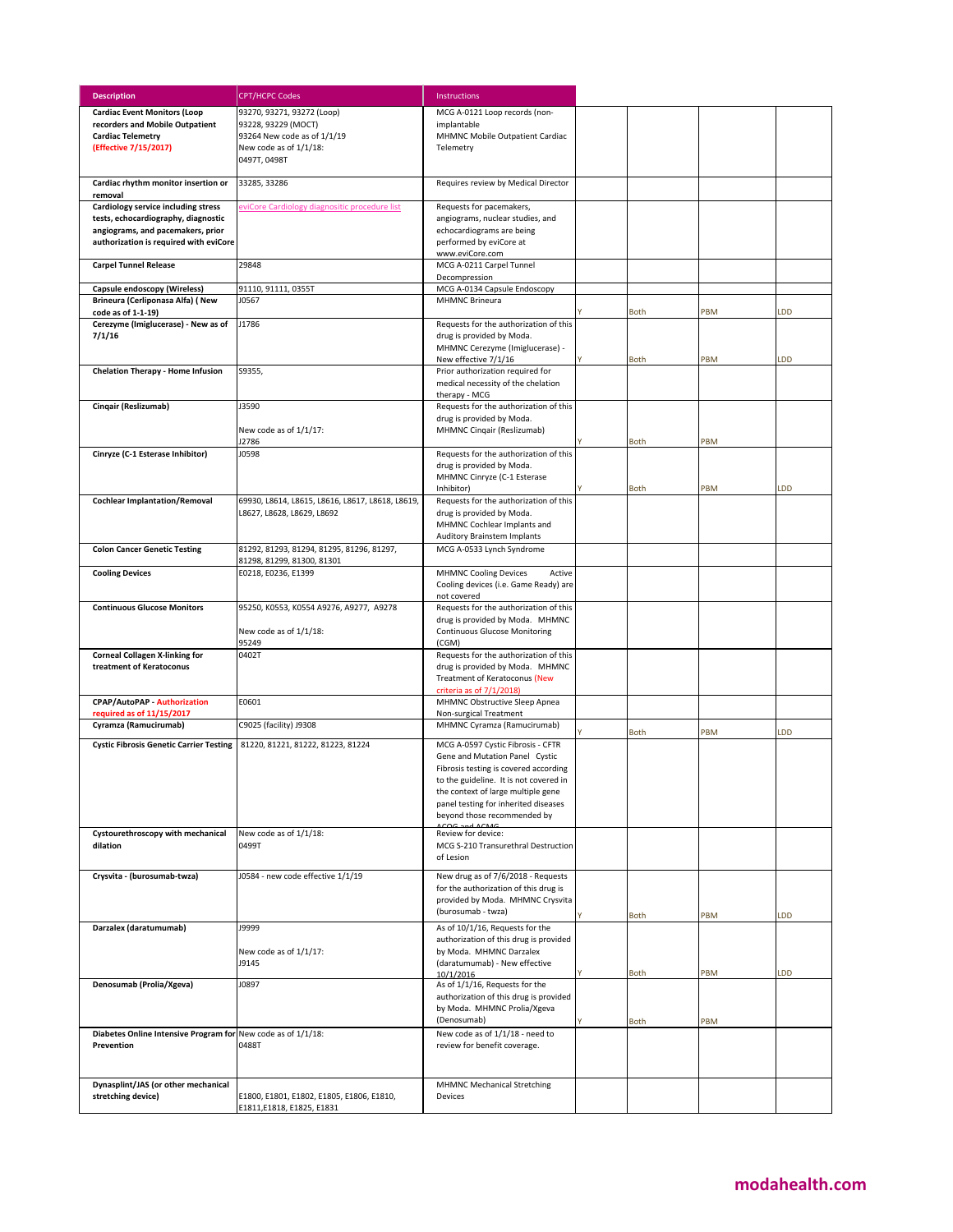| <b>Description</b>                                                | <b>CPT/HCPC Codes</b>                                 | Instructions                                                                    |             |     |     |
|-------------------------------------------------------------------|-------------------------------------------------------|---------------------------------------------------------------------------------|-------------|-----|-----|
| <b>Cardiac Event Monitors (Loop</b>                               | 93270, 93271, 93272 (Loop)                            | MCG A-0121 Loop records (non-                                                   |             |     |     |
| recorders and Mobile Outpatient                                   | 93228, 93229 (MOCT)                                   | implantable                                                                     |             |     |     |
| <b>Cardiac Telemetry</b><br>(Effective 7/15/2017)                 | 93264 New code as of 1/1/19<br>New code as of 1/1/18: | MHMNC Mobile Outpatient Cardiac<br>Telemetry                                    |             |     |     |
|                                                                   | 0497T, 0498T                                          |                                                                                 |             |     |     |
| Cardiac rhythm monitor insertion or                               | 33285, 33286                                          | Requires review by Medical Director                                             |             |     |     |
| removal<br>Cardiology service including stress                    | eviCore Cardiology diagnositic procedure list         | Requests for pacemakers,                                                        |             |     |     |
| tests, echocardiography, diagnostic                               |                                                       | angiograms, nuclear studies, and                                                |             |     |     |
| angiograms, and pacemakers, prior                                 |                                                       | echocardiograms are being                                                       |             |     |     |
| authorization is required with eviCore                            |                                                       | performed by eviCore at<br>www.eviCore.com                                      |             |     |     |
| <b>Carpel Tunnel Release</b>                                      | 29848                                                 | MCG A-0211 Carpel Tunnel                                                        |             |     |     |
|                                                                   |                                                       | Decompression<br>MCG A-0134 Capsule Endoscopy                                   |             |     |     |
| Capsule endoscopy (Wireless)<br>Brineura (Cerliponasa Alfa) (New  | 91110, 91111, 0355T<br>J0567                          | <b>MHMNC Brineura</b>                                                           |             |     |     |
| code as of 1-1-19)                                                |                                                       |                                                                                 | <b>Both</b> | PBM | LDD |
| Cerezyme (Imiglucerase) - New as of<br>7/1/16                     | J1786                                                 | Requests for the authorization of this<br>drug is provided by Moda.             |             |     |     |
|                                                                   |                                                       | MHMNC Cerezyme (Imiglucerase) -                                                 |             |     |     |
|                                                                   |                                                       | New effective 7/1/16                                                            | <b>Both</b> | PBM | LDD |
| <b>Chelation Therapy - Home Infusion</b>                          | S9355,                                                | Prior authorization required for                                                |             |     |     |
|                                                                   |                                                       | medical necessity of the chelation<br>therapy - MCG                             |             |     |     |
| Cinqair (Reslizumab)                                              | J3590                                                 | Requests for the authorization of this                                          |             |     |     |
|                                                                   | New code as of 1/1/17:                                | drug is provided by Moda.                                                       |             |     |     |
|                                                                   | J2786                                                 | MHMNC Cingair (Reslizumab)                                                      | Both        | PBM |     |
| Cinryze (C-1 Esterase Inhibitor)                                  | J0598                                                 | Requests for the authorization of this                                          |             |     |     |
|                                                                   |                                                       | drug is provided by Moda.<br>MHMNC Cinryze (C-1 Esterase                        |             |     |     |
|                                                                   |                                                       | Inhibitor)                                                                      | <b>Both</b> | PBM | LDD |
| <b>Cochlear Implantation/Removal</b>                              | 69930, L8614, L8615, L8616, L8617, L8618, L8619,      | Requests for the authorization of this                                          |             |     |     |
|                                                                   | L8627, L8628, L8629, L8692                            | drug is provided by Moda.<br>MHMNC Cochlear Implants and                        |             |     |     |
|                                                                   |                                                       | <b>Auditory Brainstem Implants</b>                                              |             |     |     |
| <b>Colon Cancer Genetic Testing</b>                               | 81292, 81293, 81294, 81295, 81296, 81297,             | MCG A-0533 Lynch Syndrome                                                       |             |     |     |
|                                                                   | 81298, 81299, 81300, 81301                            |                                                                                 |             |     |     |
| <b>Cooling Devices</b>                                            | E0218, E0236, E1399                                   | <b>MHMNC Cooling Devices</b><br>Active<br>Cooling devices (i.e. Game Ready) are |             |     |     |
|                                                                   |                                                       | not covered                                                                     |             |     |     |
| <b>Continuous Glucose Monitors</b>                                | 95250, K0553, K0554 A9276, A9277, A9278               | Requests for the authorization of this                                          |             |     |     |
|                                                                   | New code as of 1/1/18:                                | drug is provided by Moda. MHMNC<br><b>Continuous Glucose Monitoring</b>         |             |     |     |
|                                                                   | 95249                                                 | (CGM)                                                                           |             |     |     |
| <b>Corneal Collagen X-linking for</b><br>treatment of Keratoconus | 0402T                                                 | Requests for the authorization of this                                          |             |     |     |
|                                                                   |                                                       | drug is provided by Moda. MHMNC<br>Treatment of Keratoconus (New                |             |     |     |
|                                                                   |                                                       | criteria as of 7/1/2018)                                                        |             |     |     |
| <b>CPAP/AutoPAP - Authorization</b><br>required as of 11/15/2017  | E0601                                                 | MHMNC Obstructive Sleep Apnea<br>Non-surgical Treatment                         |             |     |     |
| Cyramza (Ramucirumab)                                             | C9025 (facility) J9308                                | MHMNC Cyramza (Ramucirumab)                                                     |             |     |     |
| <b>Cystic Fibrosis Genetic Carrier Testing</b>                    | 81220, 81221, 81222, 81223, 81224                     | MCG A-0597 Cystic Fibrosis - CFTR                                               | <b>Both</b> | PBM | LDD |
|                                                                   |                                                       | Gene and Mutation Panel Cystic                                                  |             |     |     |
|                                                                   |                                                       | Fibrosis testing is covered according                                           |             |     |     |
|                                                                   |                                                       | to the guideline. It is not covered in<br>the context of large multiple gene    |             |     |     |
|                                                                   |                                                       | panel testing for inherited diseases                                            |             |     |     |
|                                                                   |                                                       | beyond those recommended by<br>A A C                                            |             |     |     |
| Cystourethroscopy with mechanical                                 | New code as of 1/1/18:                                | Review for device:                                                              |             |     |     |
| dilation                                                          | 0499T                                                 | MCG S-210 Transurethral Destruction<br>of Lesion                                |             |     |     |
|                                                                   |                                                       |                                                                                 |             |     |     |
| Crysvita - (burosumab-twza)                                       | J0584 - new code effective 1/1/19                     | New drug as of 7/6/2018 - Requests<br>for the authorization of this drug is     |             |     |     |
|                                                                   |                                                       | provided by Moda. MHMNC Crysvita                                                |             |     |     |
|                                                                   |                                                       | (burosumab - twza)                                                              | Both        | PBM | LDD |
| Darzalex (daratumumab)                                            | J9999                                                 | As of 10/1/16, Requests for the                                                 |             |     |     |
|                                                                   | New code as of 1/1/17:                                | authorization of this drug is provided<br>by Moda. MHMNC Darzalex               |             |     |     |
|                                                                   | J9145                                                 | (daratumumab) - New effective                                                   |             |     |     |
| Denosumab (Prolia/Xgeva)                                          | J0897                                                 | 10/1/2016<br>As of 1/1/16, Requests for the                                     | Both        | PBM | LDD |
|                                                                   |                                                       | authorization of this drug is provided                                          |             |     |     |
|                                                                   |                                                       | by Moda. MHMNC Prolia/Xgeva                                                     |             |     |     |
| Diabetes Online Intensive Program for New code as of 1/1/18:      |                                                       | (Denosumab)<br>New code as of 1/1/18 - need to                                  | Both        | PBM |     |
| Prevention                                                        | 0488T                                                 | review for benefit coverage.                                                    |             |     |     |
|                                                                   |                                                       |                                                                                 |             |     |     |
|                                                                   |                                                       |                                                                                 |             |     |     |
| Dynasplint/JAS (or other mechanical<br>stretching device)         | E1800, E1801, E1802, E1805, E1806, E1810,             | <b>MHMNC Mechanical Stretching</b><br>Devices                                   |             |     |     |
|                                                                   | E1811, E1818, E1825, E1831                            |                                                                                 |             |     |     |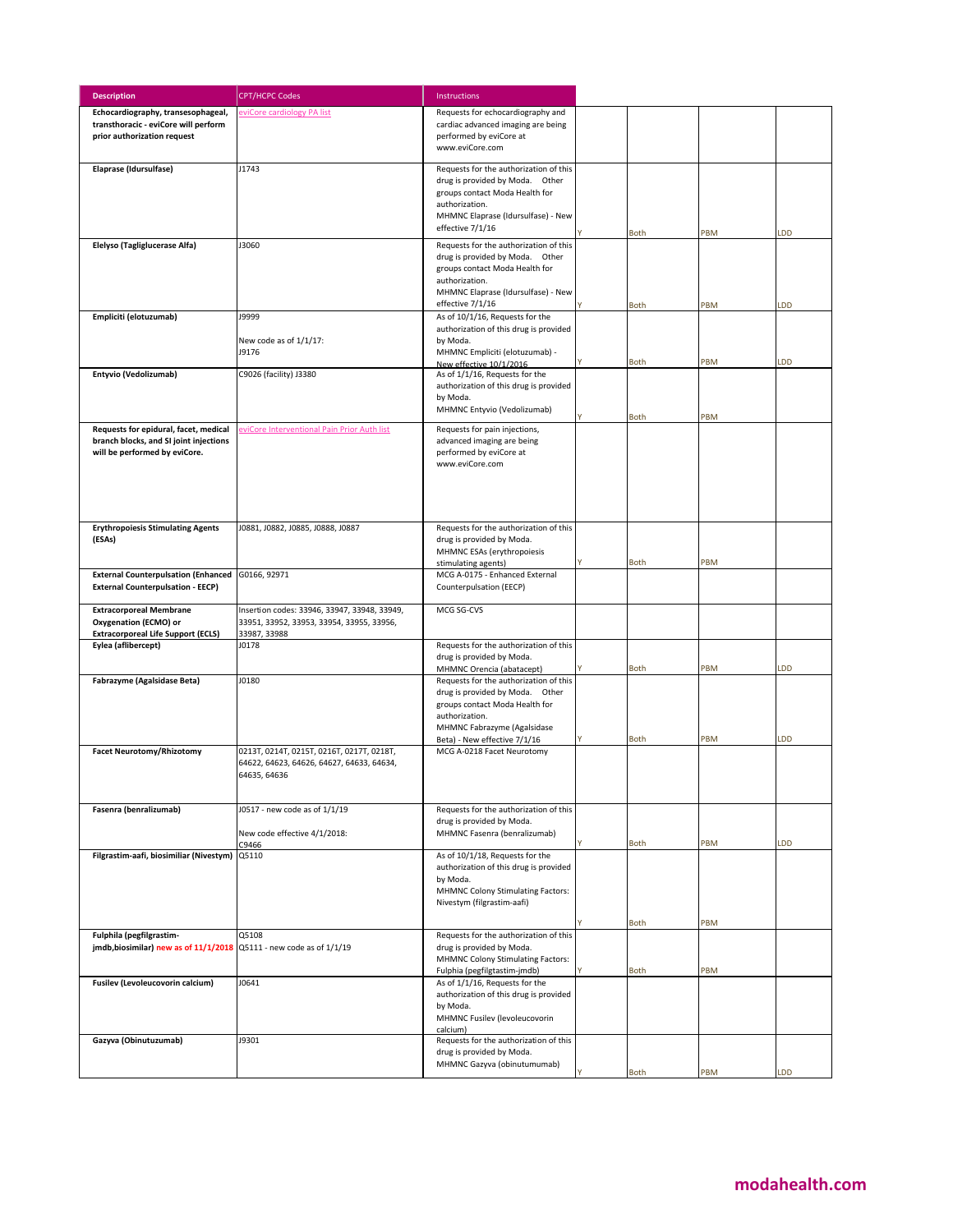| <b>Description</b>                                                                  | <b>CPT/HCPC Codes</b>                        | Instructions                                                              |             |     |     |
|-------------------------------------------------------------------------------------|----------------------------------------------|---------------------------------------------------------------------------|-------------|-----|-----|
| Echocardiography, transesophageal,                                                  | eviCore cardiology PA list                   | Requests for echocardiography and                                         |             |     |     |
| transthoracic - eviCore will perform                                                |                                              | cardiac advanced imaging are being                                        |             |     |     |
| prior authorization request                                                         |                                              | performed by eviCore at                                                   |             |     |     |
|                                                                                     |                                              | www.eviCore.com                                                           |             |     |     |
| Elaprase (Idursulfase)                                                              | J1743                                        | Requests for the authorization of this                                    |             |     |     |
|                                                                                     |                                              | drug is provided by Moda. Other                                           |             |     |     |
|                                                                                     |                                              | groups contact Moda Health for                                            |             |     |     |
|                                                                                     |                                              | authorization.                                                            |             |     |     |
|                                                                                     |                                              | MHMNC Elaprase (Idursulfase) - New                                        |             |     |     |
|                                                                                     |                                              | effective 7/1/16                                                          | <b>Both</b> | PBM | LDD |
| Elelyso (Tagliglucerase Alfa)                                                       | J3060                                        | Requests for the authorization of this                                    |             |     |     |
|                                                                                     |                                              | drug is provided by Moda. Other                                           |             |     |     |
|                                                                                     |                                              | groups contact Moda Health for                                            |             |     |     |
|                                                                                     |                                              | authorization.                                                            |             |     |     |
|                                                                                     |                                              | MHMNC Elaprase (Idursulfase) - New                                        |             |     |     |
|                                                                                     |                                              | effective 7/1/16                                                          | <b>Both</b> | PBM | LDD |
| Empliciti (elotuzumab)                                                              | <b>19999</b>                                 | As of 10/1/16, Requests for the<br>authorization of this drug is provided |             |     |     |
|                                                                                     | New code as of 1/1/17:                       | by Moda.                                                                  |             |     |     |
|                                                                                     | J9176                                        | MHMNC Empliciti (elotuzumab) -                                            |             |     |     |
|                                                                                     |                                              | New effective 10/1/2016                                                   | <b>Both</b> | PBM | LDD |
| Entyvio (Vedolizumab)                                                               | C9026 (facility) J3380                       | As of 1/1/16, Requests for the                                            |             |     |     |
|                                                                                     |                                              | authorization of this drug is provided                                    |             |     |     |
|                                                                                     |                                              | by Moda.                                                                  |             |     |     |
|                                                                                     |                                              | MHMNC Entyvio (Vedolizumab)                                               | <b>Both</b> | PBM |     |
| Requests for epidural, facet, medical                                               | eviCore Interventional Pain Prior Auth list  | Requests for pain injections,                                             |             |     |     |
| branch blocks, and SI joint injections                                              |                                              | advanced imaging are being                                                |             |     |     |
| will be performed by eviCore.                                                       |                                              | performed by eviCore at                                                   |             |     |     |
|                                                                                     |                                              | www.eviCore.com                                                           |             |     |     |
|                                                                                     |                                              |                                                                           |             |     |     |
|                                                                                     |                                              |                                                                           |             |     |     |
|                                                                                     |                                              |                                                                           |             |     |     |
| <b>Erythropoiesis Stimulating Agents</b>                                            | J0881, J0882, J0885, J0888, J0887            | Requests for the authorization of this                                    |             |     |     |
| (ESAs)                                                                              |                                              | drug is provided by Moda.                                                 |             |     |     |
|                                                                                     |                                              | MHMNC ESAs (erythropoiesis                                                |             |     |     |
|                                                                                     |                                              | stimulating agents)                                                       | <b>Both</b> | PBM |     |
| External Counterpulsation (Enhanced G0166, 92971                                    |                                              | MCG A-0175 - Enhanced External                                            |             |     |     |
| <b>External Counterpulsation - EECP)</b>                                            |                                              | Counterpulsation (EECP)                                                   |             |     |     |
| <b>Extracorporeal Membrane</b>                                                      | Insertion codes: 33946, 33947, 33948, 33949, | MCG SG-CVS                                                                |             |     |     |
| Oxygenation (ECMO) or                                                               | 33951, 33952, 33953, 33954, 33955, 33956,    |                                                                           |             |     |     |
| <b>Extracorporeal Life Support (ECLS)</b>                                           | 33987, 33988                                 |                                                                           |             |     |     |
| Eylea (aflibercept)                                                                 | J0178                                        | Requests for the authorization of this                                    |             |     |     |
|                                                                                     |                                              | drug is provided by Moda.                                                 |             |     |     |
| Fabrazyme (Agalsidase Beta)                                                         | J0180                                        | MHMNC Orencia (abatacept)<br>Requests for the authorization of this       | <b>Both</b> | PBM | LDD |
|                                                                                     |                                              | drug is provided by Moda. Other                                           |             |     |     |
|                                                                                     |                                              | groups contact Moda Health for                                            |             |     |     |
|                                                                                     |                                              | authorization.                                                            |             |     |     |
|                                                                                     |                                              | MHMNC Fabrazyme (Agalsidase                                               |             |     |     |
|                                                                                     |                                              | Beta) - New effective 7/1/16                                              | <b>Both</b> | PBM | LDD |
| <b>Facet Neurotomy/Rhizotomy</b>                                                    | 0213T, 0214T, 0215T, 0216T, 0217T, 0218T,    | MCG A-0218 Facet Neurotomy                                                |             |     |     |
|                                                                                     | 64622, 64623, 64626, 64627, 64633, 64634,    |                                                                           |             |     |     |
|                                                                                     | 64635, 64636                                 |                                                                           |             |     |     |
|                                                                                     |                                              |                                                                           |             |     |     |
| Fasenra (benralizumab)                                                              | J0517 - new code as of 1/1/19                | Requests for the authorization of this                                    |             |     |     |
|                                                                                     |                                              | drug is provided by Moda.                                                 |             |     |     |
|                                                                                     | New code effective 4/1/2018:                 | MHMNC Fasenra (benralizumab)                                              |             |     |     |
| Filgrastim-aafi, biosimiliar (Nivestym) Q5110                                       | C9466                                        | As of 10/1/18, Requests for the                                           | <b>Both</b> | PBM | LDD |
|                                                                                     |                                              | authorization of this drug is provided                                    |             |     |     |
|                                                                                     |                                              | by Moda.                                                                  |             |     |     |
|                                                                                     |                                              | <b>MHMNC Colony Stimulating Factors:</b>                                  |             |     |     |
|                                                                                     |                                              | Nivestym (filgrastim-aafi)                                                |             |     |     |
|                                                                                     |                                              |                                                                           | <b>Both</b> | PBM |     |
| Fulphila (pegfilgrastim-                                                            | Q5108                                        | Requests for the authorization of this                                    |             |     |     |
| $\mathsf{imdb, biosimilar}$ ) new as of $11/1/2018$ Q5111 - new code as of $1/1/19$ |                                              | drug is provided by Moda.                                                 |             |     |     |
|                                                                                     |                                              | MHMNC Colony Stimulating Factors:                                         |             |     |     |
|                                                                                     |                                              | Fulphia (pegfilgtastim-jmdb)                                              | Both        | PBM |     |
| Fusilev (Levoleucovorin calcium)                                                    | J0641                                        | As of 1/1/16, Requests for the<br>authorization of this drug is provided  |             |     |     |
|                                                                                     |                                              | by Moda.                                                                  |             |     |     |
|                                                                                     |                                              | MHMNC Fusilev (levoleucovorin                                             |             |     |     |
|                                                                                     |                                              | calcium)                                                                  |             |     |     |
| Gazyva (Obinutuzumab)                                                               | J9301                                        | Requests for the authorization of this                                    |             |     |     |
|                                                                                     |                                              | drug is provided by Moda.                                                 |             |     |     |
|                                                                                     |                                              | MHMNC Gazyva (obinutumumab)                                               | <b>Both</b> | PBM | LDD |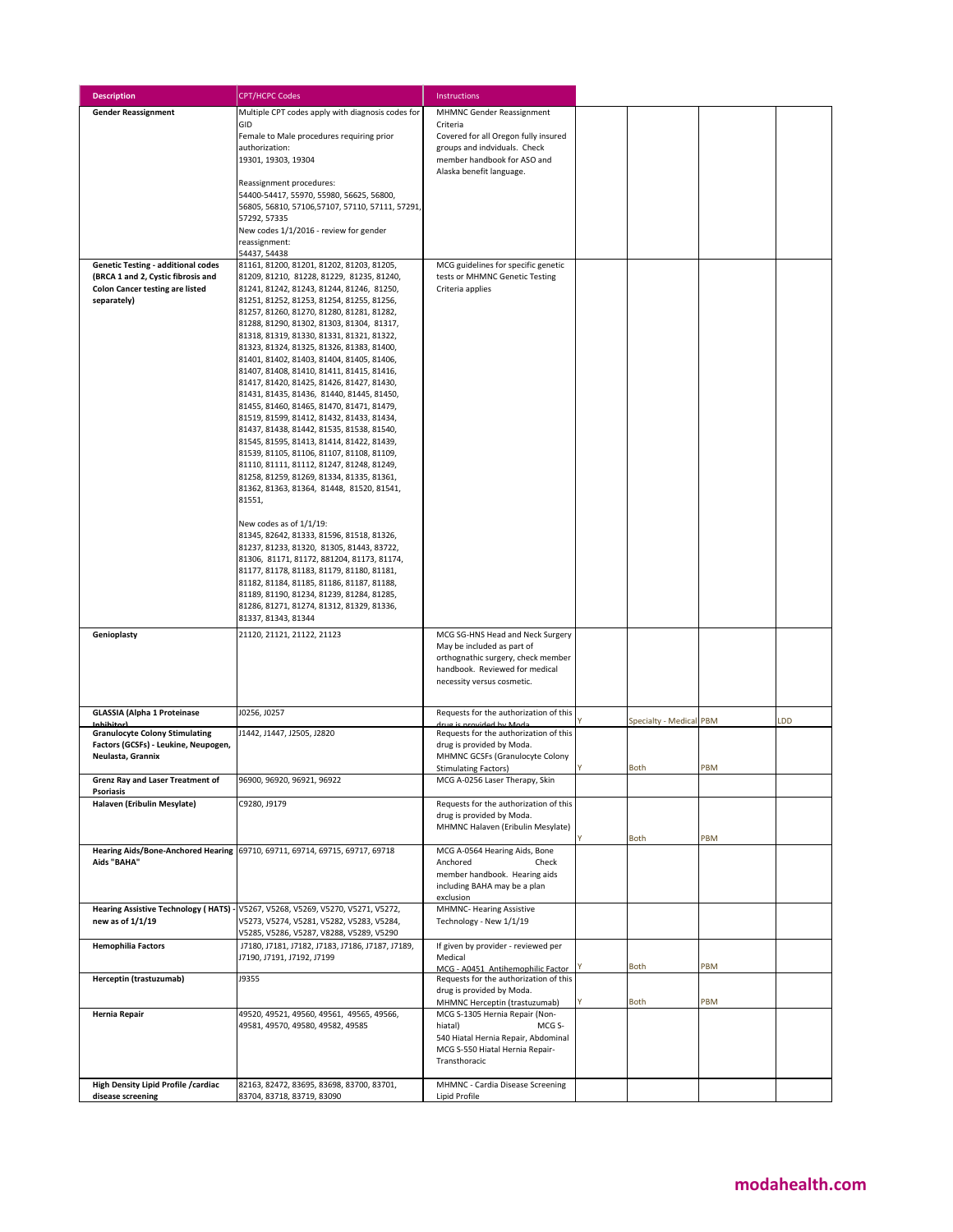| <b>Description</b>                                                              | <b>CPT/HCPC Codes</b>                                                                  | Instructions                                                          |                         |     |     |
|---------------------------------------------------------------------------------|----------------------------------------------------------------------------------------|-----------------------------------------------------------------------|-------------------------|-----|-----|
| <b>Gender Reassignment</b>                                                      | Multiple CPT codes apply with diagnosis codes for                                      | <b>MHMNC Gender Reassignment</b>                                      |                         |     |     |
|                                                                                 | GID                                                                                    | Criteria                                                              |                         |     |     |
|                                                                                 | Female to Male procedures requiring prior<br>authorization:                            | Covered for all Oregon fully insured<br>groups and indviduals. Check  |                         |     |     |
|                                                                                 | 19301, 19303, 19304                                                                    | member handbook for ASO and                                           |                         |     |     |
|                                                                                 |                                                                                        | Alaska benefit language.                                              |                         |     |     |
|                                                                                 | Reassignment procedures:<br>54400-54417, 55970, 55980, 56625, 56800,                   |                                                                       |                         |     |     |
|                                                                                 | 56805, 56810, 57106, 57107, 57110, 57111, 57291,                                       |                                                                       |                         |     |     |
|                                                                                 | 57292, 57335<br>New codes 1/1/2016 - review for gender                                 |                                                                       |                         |     |     |
|                                                                                 | reassignment:                                                                          |                                                                       |                         |     |     |
|                                                                                 | 54437, 54438                                                                           |                                                                       |                         |     |     |
| <b>Genetic Testing - additional codes</b><br>(BRCA 1 and 2, Cystic fibrosis and | 81161, 81200, 81201, 81202, 81203, 81205,<br>81209, 81210, 81228, 81229, 81235, 81240, | MCG guidelines for specific genetic<br>tests or MHMNC Genetic Testing |                         |     |     |
| <b>Colon Cancer testing are listed</b>                                          | 81241, 81242, 81243, 81244, 81246, 81250,                                              | Criteria applies                                                      |                         |     |     |
| separately)                                                                     | 81251, 81252, 81253, 81254, 81255, 81256,                                              |                                                                       |                         |     |     |
|                                                                                 | 81257, 81260, 81270, 81280, 81281, 81282,<br>81288, 81290, 81302, 81303, 81304, 81317, |                                                                       |                         |     |     |
|                                                                                 | 81318, 81319, 81330, 81331, 81321, 81322,                                              |                                                                       |                         |     |     |
|                                                                                 | 81323, 81324, 81325, 81326, 81383, 81400,                                              |                                                                       |                         |     |     |
|                                                                                 | 81401, 81402, 81403, 81404, 81405, 81406,<br>81407, 81408, 81410, 81411, 81415, 81416, |                                                                       |                         |     |     |
|                                                                                 | 81417, 81420, 81425, 81426, 81427, 81430,                                              |                                                                       |                         |     |     |
|                                                                                 | 81431, 81435, 81436, 81440, 81445, 81450,                                              |                                                                       |                         |     |     |
|                                                                                 | 81455, 81460, 81465, 81470, 81471, 81479,<br>81519, 81599, 81412, 81432, 81433, 81434, |                                                                       |                         |     |     |
|                                                                                 | 81437, 81438, 81442, 81535, 81538, 81540,                                              |                                                                       |                         |     |     |
|                                                                                 | 81545, 81595, 81413, 81414, 81422, 81439,                                              |                                                                       |                         |     |     |
|                                                                                 | 81539, 81105, 81106, 81107, 81108, 81109,<br>81110, 81111, 81112, 81247, 81248, 81249, |                                                                       |                         |     |     |
|                                                                                 | 81258, 81259, 81269, 81334, 81335, 81361,                                              |                                                                       |                         |     |     |
|                                                                                 | 81362, 81363, 81364, 81448, 81520, 81541,<br>81551,                                    |                                                                       |                         |     |     |
|                                                                                 |                                                                                        |                                                                       |                         |     |     |
|                                                                                 | New codes as of 1/1/19:                                                                |                                                                       |                         |     |     |
|                                                                                 | 81345, 82642, 81333, 81596, 81518, 81326,<br>81237, 81233, 81320, 81305, 81443, 83722, |                                                                       |                         |     |     |
|                                                                                 | 81306, 81171, 81172, 881204, 81173, 81174,                                             |                                                                       |                         |     |     |
|                                                                                 | 81177, 81178, 81183, 81179, 81180, 81181,                                              |                                                                       |                         |     |     |
|                                                                                 | 81182, 81184, 81185, 81186, 81187, 81188,<br>81189, 81190, 81234, 81239, 81284, 81285, |                                                                       |                         |     |     |
|                                                                                 | 81286, 81271, 81274, 81312, 81329, 81336,                                              |                                                                       |                         |     |     |
|                                                                                 | 81337, 81343, 81344                                                                    |                                                                       |                         |     |     |
| Genioplasty                                                                     | 21120, 21121, 21122, 21123                                                             | MCG SG-HNS Head and Neck Surgery<br>May be included as part of        |                         |     |     |
|                                                                                 |                                                                                        | orthognathic surgery, check member                                    |                         |     |     |
|                                                                                 |                                                                                        | handbook. Reviewed for medical                                        |                         |     |     |
|                                                                                 |                                                                                        | necessity versus cosmetic.                                            |                         |     |     |
| <b>GLASSIA (Alpha 1 Proteinase</b>                                              | J0256, J0257                                                                           | Requests for the authorization of this                                |                         |     |     |
| Inhihitorl                                                                      |                                                                                        | drug is provided by Moda                                              | Specialty - Medical PBM |     | LDD |
| <b>Granulocyte Colony Stimulating</b><br>Factors (GCSFs) - Leukine, Neupogen,   | J1442, J1447, J2505, J2820                                                             | Requests for the authorization of this<br>drug is provided by Moda.   |                         |     |     |
| Neulasta, Grannix                                                               |                                                                                        | MHMNC GCSFs (Granulocyte Colony                                       |                         |     |     |
|                                                                                 |                                                                                        | <b>Stimulating Factors)</b>                                           | Both                    | PBM |     |
| Grenz Ray and Laser Treatment of<br><b>Psoriasis</b>                            | 96900, 96920, 96921, 96922                                                             | MCG A-0256 Laser Therapy, Skin                                        |                         |     |     |
| Halaven (Eribulin Mesylate)                                                     | C9280, J9179                                                                           | Requests for the authorization of this                                |                         |     |     |
|                                                                                 |                                                                                        | drug is provided by Moda.<br>MHMNC Halaven (Eribulin Mesylate)        |                         |     |     |
|                                                                                 |                                                                                        |                                                                       | Both                    | PBM |     |
| Aids "BAHA"                                                                     | Hearing Aids/Bone-Anchored Hearing 69710, 69711, 69714, 69715, 69717, 69718            | MCG A-0564 Hearing Aids, Bone<br>Anchored<br>Check                    |                         |     |     |
|                                                                                 |                                                                                        | member handbook. Hearing aids                                         |                         |     |     |
|                                                                                 |                                                                                        | including BAHA may be a plan                                          |                         |     |     |
|                                                                                 | Hearing Assistive Technology ( HATS) - V5267, V5268, V5269, V5270, V5271, V5272,       | exclusion<br><b>MHMNC- Hearing Assistive</b>                          |                         |     |     |
| new as of 1/1/19                                                                | V5273, V5274, V5281, V5282, V5283, V5284,                                              | Technology - New 1/1/19                                               |                         |     |     |
|                                                                                 | V5285, V5286, V5287, V8288, V5289, V5290                                               |                                                                       |                         |     |     |
| <b>Hemophilia Factors</b>                                                       | J7180, J7181, J7182, J7183, J7186, J7187, J7189,<br>J7190, J7191, J7192, J7199         | If given by provider - reviewed per<br>Medical                        |                         |     |     |
|                                                                                 |                                                                                        | MCG - A0451 Antihemophilic Factor                                     | <b>Both</b>             | PBM |     |
| Herceptin (trastuzumab)                                                         | J9355                                                                                  | Requests for the authorization of this<br>drug is provided by Moda.   |                         |     |     |
|                                                                                 |                                                                                        | MHMNC Herceptin (trastuzumab)                                         | <b>Both</b>             | PBM |     |
| Hernia Repair                                                                   | 49520, 49521, 49560, 49561, 49565, 49566,                                              | MCG S-1305 Hernia Repair (Non-<br>hiatal)<br>MCG S-                   |                         |     |     |
|                                                                                 | 49581, 49570, 49580, 49582, 49585                                                      | 540 Hiatal Hernia Repair, Abdominal                                   |                         |     |     |
|                                                                                 |                                                                                        | MCG S-550 Hiatal Hernia Repair-                                       |                         |     |     |
|                                                                                 |                                                                                        | Transthoracic                                                         |                         |     |     |
| High Density Lipid Profile / cardiac                                            | 82163, 82472, 83695, 83698, 83700, 83701,                                              | MHMNC - Cardia Disease Screening                                      |                         |     |     |
| disease screening                                                               | 83704, 83718, 83719, 83090                                                             | Lipid Profile                                                         |                         |     |     |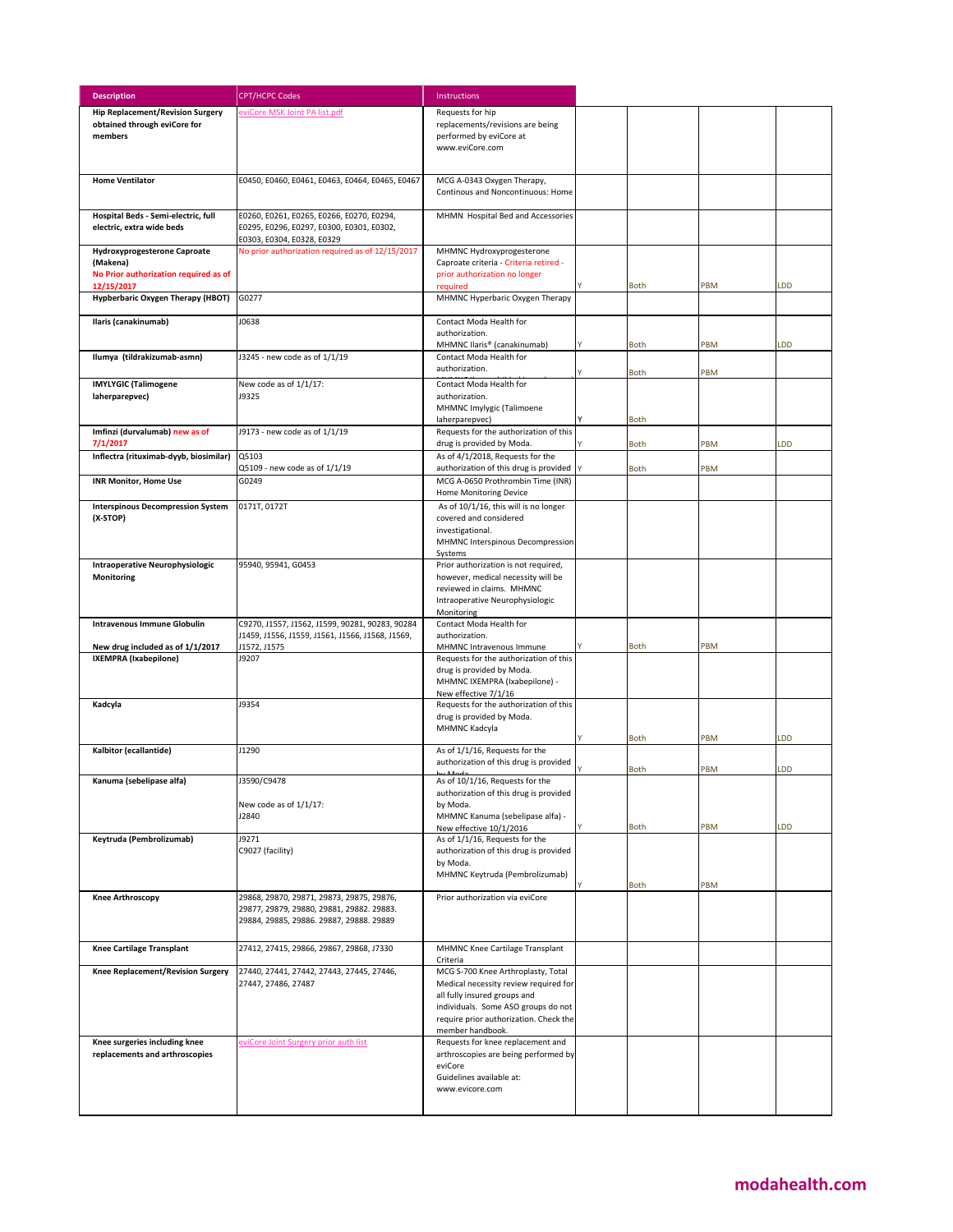| <b>Description</b>                                               | <b>CPT/HCPC Codes</b>                            | Instructions                                                              |             |     |           |
|------------------------------------------------------------------|--------------------------------------------------|---------------------------------------------------------------------------|-------------|-----|-----------|
| <b>Hip Replacement/Revision Surgery</b>                          | eviCore MSK Joint PA list.pdf                    | Requests for hip                                                          |             |     |           |
| obtained through eviCore for                                     |                                                  | replacements/revisions are being                                          |             |     |           |
| members                                                          |                                                  | performed by eviCore at                                                   |             |     |           |
|                                                                  |                                                  | www.eviCore.com                                                           |             |     |           |
|                                                                  |                                                  |                                                                           |             |     |           |
| <b>Home Ventilator</b>                                           | E0450, E0460, E0461, E0463, E0464, E0465, E0467  | MCG A-0343 Oxygen Therapy,                                                |             |     |           |
|                                                                  |                                                  | Continous and Noncontinuous: Home                                         |             |     |           |
| Hospital Beds - Semi-electric, full                              | E0260, E0261, E0265, E0266, E0270, E0294,        | MHMN Hospital Bed and Accessories                                         |             |     |           |
| electric, extra wide beds                                        | E0295, E0296, E0297, E0300, E0301, E0302,        |                                                                           |             |     |           |
|                                                                  | E0303, E0304, E0328, E0329                       |                                                                           |             |     |           |
| <b>Hydroxyprogesterone Caproate</b><br>(Makena)                  | No prior authorization required as of 12/15/2017 | MHMNC Hydroxyprogesterone<br>Caproate criteria - Criteria retired -       |             |     |           |
| No Prior authorization required as of                            |                                                  | prior authorization no longer                                             |             |     |           |
| 12/15/2017                                                       |                                                  | required                                                                  | <b>Both</b> | PBM | LDD       |
| Hypberbaric Oxygen Therapy (HBOT)                                | G0277                                            | MHMNC Hyperbaric Oxygen Therapy                                           |             |     |           |
| Ilaris (canakinumab)                                             | J0638                                            | Contact Moda Health for                                                   |             |     |           |
|                                                                  |                                                  | authorization.                                                            |             |     |           |
|                                                                  |                                                  | MHMNC Ilaris® (canakinumab)                                               | Both        | PBM | <b>DD</b> |
| Ilumya (tildrakizumab-asmn)                                      | J3245 - new code as of 1/1/19                    | Contact Moda Health for<br>authorization.                                 |             |     |           |
| <b>IMYLYGIC (Talimogene</b>                                      | New code as of 1/1/17:                           | Contact Moda Health for                                                   | <b>Both</b> | PBM |           |
| laherparepvec)                                                   | J9325                                            | authorization.                                                            |             |     |           |
|                                                                  |                                                  | MHMNC Imylygic (Talimoene                                                 |             |     |           |
|                                                                  |                                                  | laherparepvec)                                                            | Both        |     |           |
| Imfinzi (durvalumab) new as of<br>7/1/2017                       | J9173 - new code as of 1/1/19                    | Requests for the authorization of this<br>drug is provided by Moda.       | <b>Both</b> | PBM | LDD       |
| Inflectra (rituximab-dyyb, biosimilar)                           | Q5103                                            | As of 4/1/2018, Requests for the                                          |             |     |           |
|                                                                  | Q5109 - new code as of 1/1/19                    | authorization of this drug is provided                                    | <b>Both</b> | PBM |           |
| <b>INR Monitor, Home Use</b>                                     | G0249                                            | MCG A-0650 Prothrombin Time (INR)<br>Home Monitoring Device               |             |     |           |
| <b>Interspinous Decompression System</b>                         | 0171T, 0172T                                     | As of 10/1/16, this will is no longer                                     |             |     |           |
| (X-STOP)                                                         |                                                  | covered and considered                                                    |             |     |           |
|                                                                  |                                                  | investigational.                                                          |             |     |           |
|                                                                  |                                                  | MHMNC Interspinous Decompression<br>Systems                               |             |     |           |
| <b>Intraoperative Neurophysiologic</b>                           | 95940, 95941, G0453                              | Prior authorization is not required,                                      |             |     |           |
| Monitoring                                                       |                                                  | however, medical necessity will be                                        |             |     |           |
|                                                                  |                                                  | reviewed in claims. MHMNC                                                 |             |     |           |
|                                                                  |                                                  | Intraoperative Neurophysiologic<br>Monitoring                             |             |     |           |
| Intravenous Immune Globulin                                      | C9270, J1557, J1562, J1599, 90281, 90283, 90284  | Contact Moda Health for                                                   |             |     |           |
|                                                                  | J1459, J1556, J1559, J1561, J1566, J1568, J1569, | authorization.                                                            |             |     |           |
| New drug included as of 1/1/2017<br><b>IXEMPRA</b> (Ixabepilone) | J1572, J1575<br>J9207                            | MHMNC Intravenous Immune<br>Requests for the authorization of this        | <b>Both</b> | PBM |           |
|                                                                  |                                                  | drug is provided by Moda.                                                 |             |     |           |
|                                                                  |                                                  | MHMNC IXEMPRA (Ixabepilone) -                                             |             |     |           |
| Kadcyla                                                          | J9354                                            | New effective 7/1/16<br>Requests for the authorization of this            |             |     |           |
|                                                                  |                                                  | drug is provided by Moda.                                                 |             |     |           |
|                                                                  |                                                  | MHMNC Kadcyla                                                             |             |     |           |
| Kalbitor (ecallantide)                                           | J1290                                            | As of 1/1/16, Requests for the                                            | <b>Both</b> | PBM | <b>DD</b> |
|                                                                  |                                                  | authorization of this drug is provided                                    |             |     |           |
|                                                                  |                                                  |                                                                           | <b>Both</b> | PBM | <b>DD</b> |
| Kanuma (sebelipase alfa)                                         | J3590/C9478                                      | As of 10/1/16, Requests for the<br>authorization of this drug is provided |             |     |           |
|                                                                  | New code as of 1/1/17:                           | by Moda.                                                                  |             |     |           |
|                                                                  | J2840                                            | MHMNC Kanuma (sebelipase alfa) -                                          |             |     |           |
| Keytruda (Pembrolizumab)                                         | J9271                                            | New effective 10/1/2016<br>As of 1/1/16, Requests for the                 | <b>Both</b> | PBM | LDD       |
|                                                                  | C9027 (facility)                                 | authorization of this drug is provided                                    |             |     |           |
|                                                                  |                                                  | by Moda.                                                                  |             |     |           |
|                                                                  |                                                  | MHMNC Keytruda (Pembrolizumab)                                            | Both        | PBM |           |
| <b>Knee Arthroscopy</b>                                          | 29868, 29870, 29871, 29873, 29875, 29876,        | Prior authorization via eviCore                                           |             |     |           |
|                                                                  | 29877, 29879, 29880, 29881, 29882. 29883.        |                                                                           |             |     |           |
|                                                                  | 29884, 29885, 29886. 29887, 29888. 29889         |                                                                           |             |     |           |
| <b>Knee Cartilage Transplant</b>                                 | 27412, 27415, 29866, 29867, 29868, J7330         | MHMNC Knee Cartilage Transplant                                           |             |     |           |
|                                                                  |                                                  | Criteria                                                                  |             |     |           |
| Knee Replacement/Revision Surgery                                | 27440, 27441, 27442, 27443, 27445, 27446,        | MCG S-700 Knee Arthroplasty, Total                                        |             |     |           |
|                                                                  | 27447, 27486, 27487                              | Medical necessity review required for<br>all fully insured groups and     |             |     |           |
|                                                                  |                                                  | individuals. Some ASO groups do not                                       |             |     |           |
|                                                                  |                                                  | require prior authorization. Check the                                    |             |     |           |
|                                                                  |                                                  | member handbook.                                                          |             |     |           |
| Knee surgeries including knee<br>replacements and arthroscopies  | eviCore Joint Surgery prior auth list            | Requests for knee replacement and<br>arthroscopies are being performed by |             |     |           |
|                                                                  |                                                  | eviCore                                                                   |             |     |           |
|                                                                  |                                                  | Guidelines available at:                                                  |             |     |           |
|                                                                  |                                                  | www.evicore.com                                                           |             |     |           |
|                                                                  |                                                  |                                                                           |             |     |           |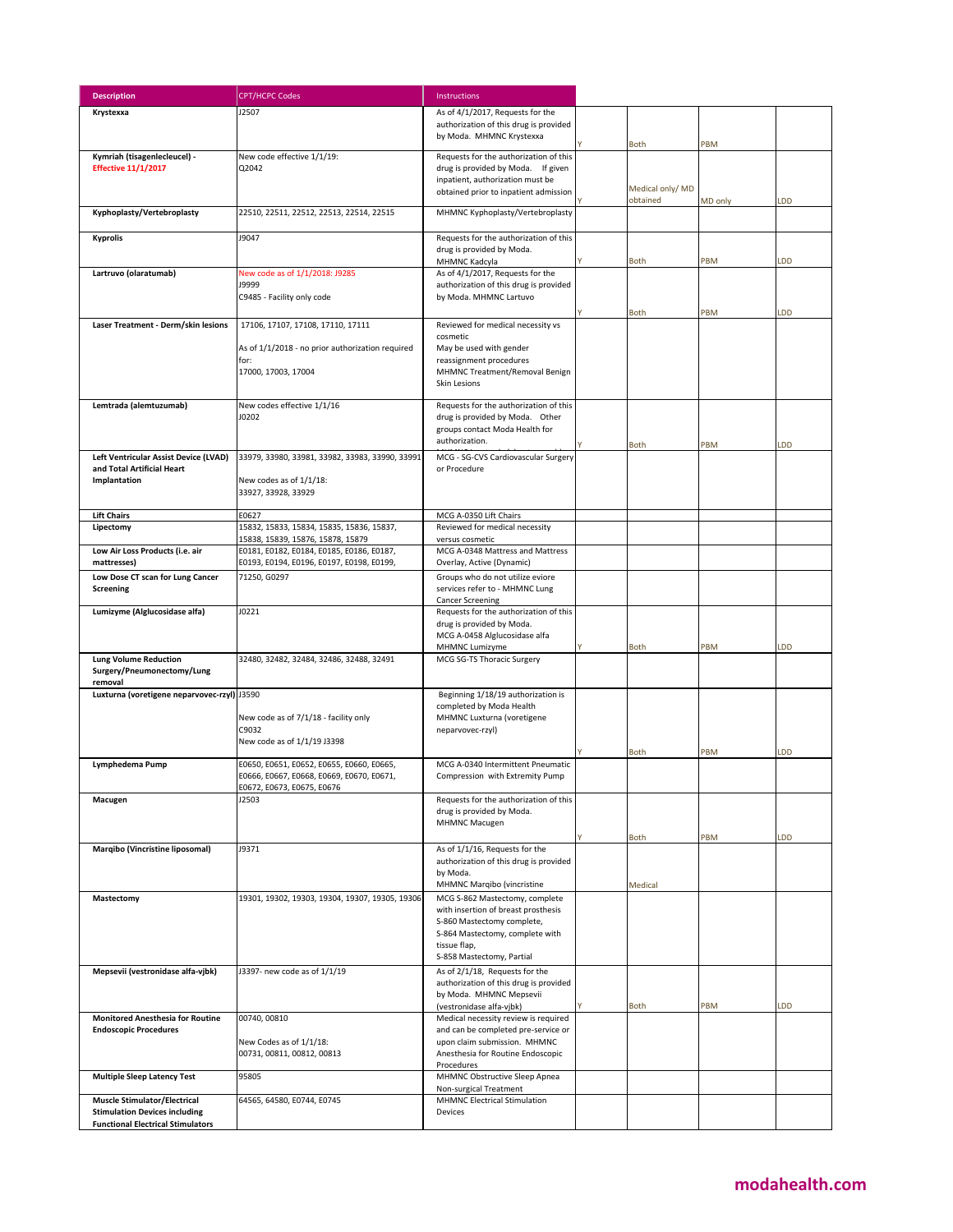| <b>Description</b>                                                               | <b>CPT/HCPC Codes</b>                            | Instructions                                                        |                  |         |     |
|----------------------------------------------------------------------------------|--------------------------------------------------|---------------------------------------------------------------------|------------------|---------|-----|
| Krystexxa                                                                        | J2507                                            | As of 4/1/2017, Requests for the                                    |                  |         |     |
|                                                                                  |                                                  | authorization of this drug is provided                              |                  |         |     |
|                                                                                  |                                                  | by Moda. MHMNC Krystexxa                                            | Both             | PBM     |     |
| Kymriah (tisagenlecleucel) -                                                     | New code effective 1/1/19:                       | Requests for the authorization of this                              |                  |         |     |
| <b>Effective 11/1/2017</b>                                                       | Q2042                                            | drug is provided by Moda. If given                                  |                  |         |     |
|                                                                                  |                                                  | inpatient, authorization must be                                    | Medical only/ MD |         |     |
|                                                                                  |                                                  | obtained prior to inpatient admission                               | obtained         | MD only | LDD |
| Kyphoplasty/Vertebroplasty                                                       | 22510, 22511, 22512, 22513, 22514, 22515         | MHMNC Kyphoplasty/Vertebroplasty                                    |                  |         |     |
|                                                                                  |                                                  |                                                                     |                  |         |     |
| <b>Kyprolis</b>                                                                  | J9047                                            | Requests for the authorization of this<br>drug is provided by Moda. |                  |         |     |
|                                                                                  |                                                  | MHMNC Kadcyla                                                       | Both             | PBM     | LDD |
| Lartruvo (olaratumab)                                                            | New code as of 1/1/2018: J9285                   | As of 4/1/2017, Requests for the                                    |                  |         |     |
|                                                                                  | <b>19999</b>                                     | authorization of this drug is provided                              |                  |         |     |
|                                                                                  | C9485 - Facility only code                       | by Moda. MHMNC Lartuvo                                              |                  |         |     |
| Laser Treatment - Derm/skin lesions                                              | 17106, 17107, 17108, 17110, 17111                | Reviewed for medical necessity vs                                   | <b>Both</b>      | PBM     | LDD |
|                                                                                  |                                                  | cosmetic                                                            |                  |         |     |
|                                                                                  | As of 1/1/2018 - no prior authorization required | May be used with gender                                             |                  |         |     |
|                                                                                  | for:                                             | reassignment procedures                                             |                  |         |     |
|                                                                                  | 17000, 17003, 17004                              | MHMNC Treatment/Removal Benign<br>Skin Lesions                      |                  |         |     |
|                                                                                  |                                                  |                                                                     |                  |         |     |
| Lemtrada (alemtuzumab)                                                           | New codes effective 1/1/16                       | Requests for the authorization of this                              |                  |         |     |
|                                                                                  | J0202                                            | drug is provided by Moda. Other                                     |                  |         |     |
|                                                                                  |                                                  | groups contact Moda Health for<br>authorization.                    |                  |         |     |
| Left Ventricular Assist Device (LVAD)                                            | 33979, 33980, 33981, 33982, 33983, 33990, 33991  | MCG - SG-CVS Cardiovascular Surgery                                 | <b>Both</b>      | PBM     | LDD |
| and Total Artificial Heart                                                       |                                                  | or Procedure                                                        |                  |         |     |
| Implantation                                                                     | New codes as of 1/1/18:                          |                                                                     |                  |         |     |
|                                                                                  | 33927, 33928, 33929                              |                                                                     |                  |         |     |
| <b>Lift Chairs</b>                                                               | E0627                                            | MCG A-0350 Lift Chairs                                              |                  |         |     |
| Lipectomy                                                                        | 15832, 15833, 15834, 15835, 15836, 15837,        | Reviewed for medical necessity                                      |                  |         |     |
|                                                                                  | 15838, 15839, 15876, 15878, 15879                | versus cosmetic                                                     |                  |         |     |
| Low Air Loss Products (i.e. air                                                  | E0181, E0182, E0184, E0185, E0186, E0187,        | MCG A-0348 Mattress and Mattress                                    |                  |         |     |
| mattresses)                                                                      | E0193, E0194, E0196, E0197, E0198, E0199,        | Overlay, Active (Dynamic)                                           |                  |         |     |
| Low Dose CT scan for Lung Cancer<br>Screening                                    | 71250, G0297                                     | Groups who do not utilize eviore<br>services refer to - MHMNC Lung  |                  |         |     |
|                                                                                  |                                                  | <b>Cancer Screening</b>                                             |                  |         |     |
| Lumizyme (Alglucosidase alfa)                                                    | J0221                                            | Requests for the authorization of this                              |                  |         |     |
|                                                                                  |                                                  | drug is provided by Moda.                                           |                  |         |     |
|                                                                                  |                                                  | MCG A-0458 Alglucosidase alfa<br>MHMNC Lumizyme                     | Both             | PBM     | LDD |
| <b>Lung Volume Reduction</b>                                                     | 32480, 32482, 32484, 32486, 32488, 32491         | MCG SG-TS Thoracic Surgery                                          |                  |         |     |
| Surgery/Pneumonectomy/Lung                                                       |                                                  |                                                                     |                  |         |     |
| removal<br>Luxturna (voretigene neparvovec-rzyl) J3590                           |                                                  | Beginning 1/18/19 authorization is                                  |                  |         |     |
|                                                                                  |                                                  | completed by Moda Health                                            |                  |         |     |
|                                                                                  | New code as of 7/1/18 - facility only            | MHMNC Luxturna (voretigene                                          |                  |         |     |
|                                                                                  | C9032                                            | neparvovec-rzyl)                                                    |                  |         |     |
|                                                                                  | New code as of 1/1/19 J3398                      |                                                                     | <b>Both</b>      | PBM     | LDD |
| Lymphedema Pump                                                                  | E0650, E0651, E0652, E0655, E0660, E0665,        | MCG A-0340 Intermittent Pneumatic                                   |                  |         |     |
|                                                                                  | E0666, E0667, E0668, E0669, E0670, E0671,        | Compression with Extremity Pump                                     |                  |         |     |
|                                                                                  | E0672, E0673, E0675, E0676<br>J2503              | Requests for the authorization of this                              |                  |         |     |
| Macugen                                                                          |                                                  | drug is provided by Moda.                                           |                  |         |     |
|                                                                                  |                                                  | <b>MHMNC Macugen</b>                                                |                  |         |     |
|                                                                                  |                                                  |                                                                     | Both             | PBM     | LDD |
| Marqibo (Vincristine liposomal)                                                  | J9371                                            | As of 1/1/16, Requests for the                                      |                  |         |     |
|                                                                                  |                                                  | authorization of this drug is provided<br>by Moda.                  |                  |         |     |
|                                                                                  |                                                  | MHMNC Marqibo (vincristine                                          | Medical          |         |     |
| Mastectomy                                                                       | 19301, 19302, 19303, 19304, 19307, 19305, 19306  | MCG S-862 Mastectomy, complete                                      |                  |         |     |
|                                                                                  |                                                  | with insertion of breast prosthesis                                 |                  |         |     |
|                                                                                  |                                                  | S-860 Mastectomy complete,                                          |                  |         |     |
|                                                                                  |                                                  | S-864 Mastectomy, complete with<br>tissue flap,                     |                  |         |     |
|                                                                                  |                                                  | S-858 Mastectomy, Partial                                           |                  |         |     |
| Mepsevii (vestronidase alfa-vjbk)                                                | J3397- new code as of 1/1/19                     | As of 2/1/18, Requests for the                                      |                  |         |     |
|                                                                                  |                                                  | authorization of this drug is provided                              |                  |         |     |
|                                                                                  |                                                  | by Moda. MHMNC Mepsevii<br>(vestronidase alfa-vjbk)                 | Both             | PBM     | LDD |
| <b>Monitored Anesthesia for Routine</b>                                          | 00740, 00810                                     | Medical necessity review is required                                |                  |         |     |
| <b>Endoscopic Procedures</b>                                                     |                                                  | and can be completed pre-service or                                 |                  |         |     |
|                                                                                  | New Codes as of 1/1/18:                          | upon claim submission. MHMNC                                        |                  |         |     |
|                                                                                  | 00731, 00811, 00812, 00813                       | Anesthesia for Routine Endoscopic<br>Procedures                     |                  |         |     |
| <b>Multiple Sleep Latency Test</b>                                               | 95805                                            | MHMNC Obstructive Sleep Apnea                                       |                  |         |     |
|                                                                                  |                                                  | Non-surgical Treatment                                              |                  |         |     |
| <b>Muscle Stimulator/Electrical</b>                                              | 64565, 64580, E0744, E0745                       | <b>MHMNC Electrical Stimulation</b>                                 |                  |         |     |
| <b>Stimulation Devices including</b><br><b>Functional Electrical Stimulators</b> |                                                  | Devices                                                             |                  |         |     |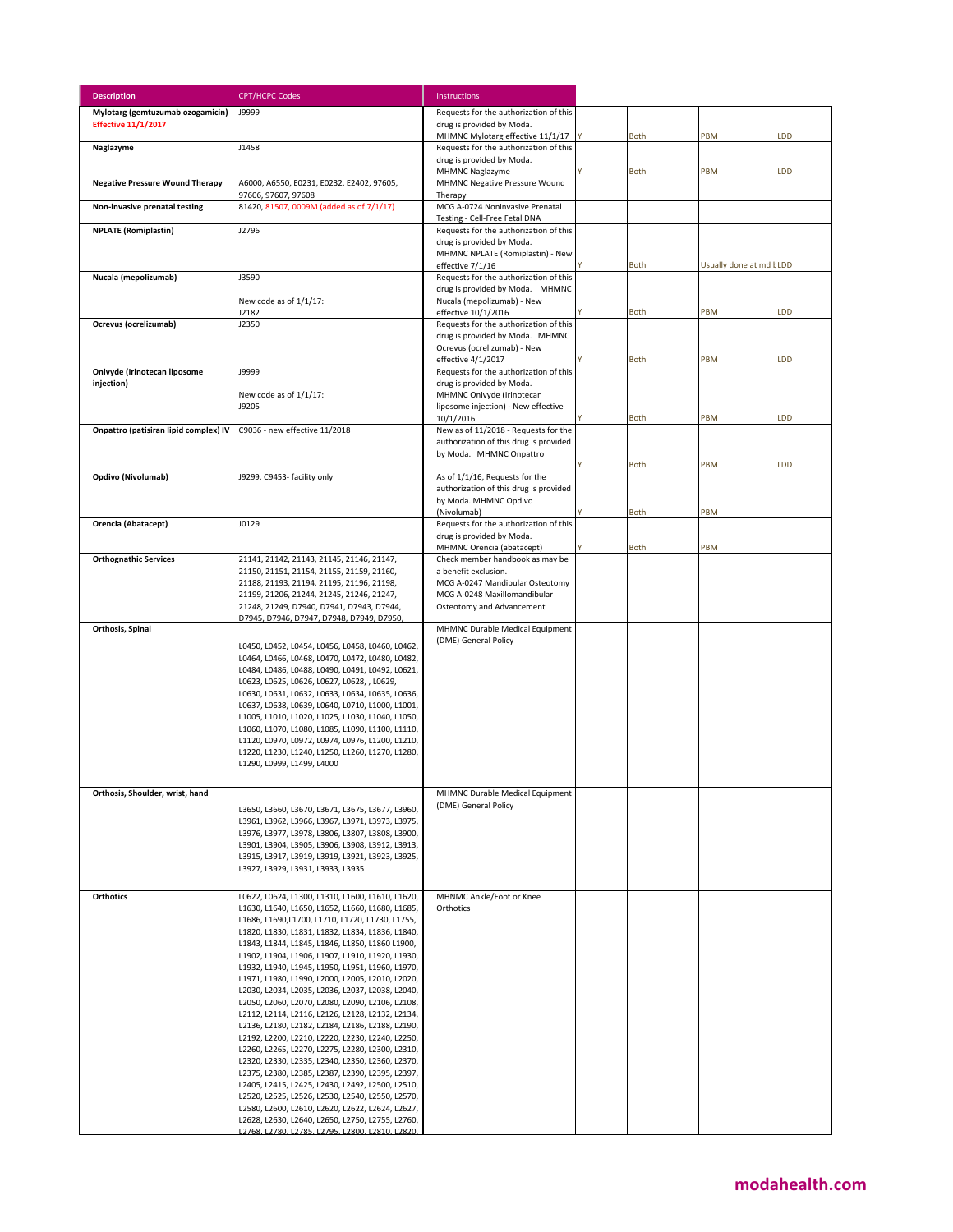| <b>Description</b>                     | <b>CPT/HCPC Codes</b>                                                                                | Instructions                                                                      |             |                          |           |
|----------------------------------------|------------------------------------------------------------------------------------------------------|-----------------------------------------------------------------------------------|-------------|--------------------------|-----------|
| Mylotarg (gemtuzumab ozogamicin)       | <b>J9999</b>                                                                                         | Requests for the authorization of this                                            |             |                          |           |
| <b>Effective 11/1/2017</b>             |                                                                                                      | drug is provided by Moda.<br>MHMNC Mylotarg effective 11/1/17                     | <b>Both</b> | PBM                      | LDD       |
| Naglazyme                              | J1458                                                                                                | Requests for the authorization of this                                            |             |                          |           |
|                                        |                                                                                                      | drug is provided by Moda.<br>MHMNC Naglazyme                                      | <b>Both</b> | PBM                      | <b>DD</b> |
| <b>Negative Pressure Wound Therapy</b> | A6000, A6550, E0231, E0232, E2402, 97605,<br>97606, 97607, 97608                                     | MHMNC Negative Pressure Wound<br>Therapy                                          |             |                          |           |
| Non-invasive prenatal testing          | 81420, 81507, 0009M (added as of 7/1/17)                                                             | MCG A-0724 Noninvasive Prenatal<br>Testing - Cell-Free Fetal DNA                  |             |                          |           |
| <b>NPLATE</b> (Romiplastin)            | J2796                                                                                                | Requests for the authorization of this                                            |             |                          |           |
|                                        |                                                                                                      | drug is provided by Moda.<br>MHMNC NPLATE (Romiplastin) - New<br>effective 7/1/16 | <b>Both</b> | Usually done at md I LDD |           |
| Nucala (mepolizumab)                   | J3590                                                                                                | Requests for the authorization of this                                            |             |                          |           |
|                                        |                                                                                                      | drug is provided by Moda. MHMNC                                                   |             |                          |           |
|                                        | New code as of 1/1/17:<br>J2182                                                                      | Nucala (mepolizumab) - New<br>effective 10/1/2016                                 | <b>Both</b> | PBM                      | LDD       |
| Ocrevus (ocrelizumab)                  | J2350                                                                                                | Requests for the authorization of this                                            |             |                          |           |
|                                        |                                                                                                      | drug is provided by Moda. MHMNC<br>Ocrevus (ocrelizumab) - New                    |             | PBM                      | LDD       |
| Onivyde (Irinotecan liposome           | J9999                                                                                                | effective 4/1/2017<br>Requests for the authorization of this                      | <b>Both</b> |                          |           |
| injection)                             |                                                                                                      | drug is provided by Moda.                                                         |             |                          |           |
|                                        | New code as of 1/1/17:<br>J9205                                                                      | MHMNC Onivyde (Irinotecan                                                         |             |                          |           |
|                                        |                                                                                                      | liposome injection) - New effective<br>10/1/2016                                  | <b>Both</b> | PBM                      | LDD       |
| Onpattro (patisiran lipid complex) IV  | C9036 - new effective 11/2018                                                                        | New as of 11/2018 - Requests for the                                              |             |                          |           |
|                                        |                                                                                                      | authorization of this drug is provided<br>by Moda. MHMNC Onpattro                 |             |                          |           |
|                                        |                                                                                                      |                                                                                   | Both        | PBM                      | LDD       |
| Opdivo (Nivolumab)                     | J9299, C9453- facility only                                                                          | As of 1/1/16, Requests for the                                                    |             |                          |           |
|                                        |                                                                                                      | authorization of this drug is provided<br>by Moda. MHMNC Opdivo                   |             |                          |           |
|                                        |                                                                                                      | (Nivolumab)                                                                       | Both        | PBM                      |           |
| Orencia (Abatacept)                    | J0129                                                                                                | Requests for the authorization of this                                            |             |                          |           |
|                                        |                                                                                                      | drug is provided by Moda.<br>MHMNC Orencia (abatacept)                            | <b>Both</b> | PBM                      |           |
| <b>Orthognathic Services</b>           | 21141, 21142, 21143, 21145, 21146, 21147,                                                            | Check member handbook as may be                                                   |             |                          |           |
|                                        | 21150, 21151, 21154, 21155, 21159, 21160,<br>21188, 21193, 21194, 21195, 21196, 21198,               | a benefit exclusion.<br>MCG A-0247 Mandibular Osteotomy                           |             |                          |           |
|                                        | 21199, 21206, 21244, 21245, 21246, 21247,                                                            | MCG A-0248 Maxillomandibular                                                      |             |                          |           |
|                                        | 21248, 21249, D7940, D7941, D7943, D7944,                                                            | Osteotomy and Advancement                                                         |             |                          |           |
| Orthosis, Spinal                       | D7945, D7946, D7947, D7948, D7949, D7950,                                                            | MHMNC Durable Medical Equipment                                                   |             |                          |           |
|                                        | L0450, L0452, L0454, L0456, L0458, L0460, L0462,                                                     | (DME) General Policy                                                              |             |                          |           |
|                                        | L0464, L0466, L0468, L0470, L0472, L0480, L0482,                                                     |                                                                                   |             |                          |           |
|                                        | L0484, L0486, L0488, L0490, L0491, L0492, L0621,                                                     |                                                                                   |             |                          |           |
|                                        | L0623, L0625, L0626, L0627, L0628, , L0629,<br>L0630, L0631, L0632, L0633, L0634, L0635, L0636,      |                                                                                   |             |                          |           |
|                                        | L0637, L0638, L0639, L0640, L0710, L1000, L1001,                                                     |                                                                                   |             |                          |           |
|                                        | L1005, L1010, L1020, L1025, L1030, L1040, L1050,                                                     |                                                                                   |             |                          |           |
|                                        | L1060, L1070, L1080, L1085, L1090, L1100, L1110,<br>L1120, L0970, L0972, L0974, L0976, L1200, L1210, |                                                                                   |             |                          |           |
|                                        | L1220, L1230, L1240, L1250, L1260, L1270, L1280,                                                     |                                                                                   |             |                          |           |
|                                        | L1290, L0999, L1499, L4000                                                                           |                                                                                   |             |                          |           |
|                                        |                                                                                                      |                                                                                   |             |                          |           |
| Orthosis, Shoulder, wrist, hand        | L3650, L3660, L3670, L3671, L3675, L3677, L3960,                                                     | MHMNC Durable Medical Equipment<br>(DME) General Policy                           |             |                          |           |
|                                        | L3961, L3962, L3966, L3967, L3971, L3973, L3975,                                                     |                                                                                   |             |                          |           |
|                                        | L3976, L3977, L3978, L3806, L3807, L3808, L3900,                                                     |                                                                                   |             |                          |           |
|                                        | L3901, L3904, L3905, L3906, L3908, L3912, L3913,<br>L3915, L3917, L3919, L3919, L3921, L3923, L3925, |                                                                                   |             |                          |           |
|                                        | L3927, L3929, L3931, L3933, L3935                                                                    |                                                                                   |             |                          |           |
|                                        |                                                                                                      |                                                                                   |             |                          |           |
| <b>Orthotics</b>                       | L0622, L0624, L1300, L1310, L1600, L1610, L1620,<br>L1630, L1640, L1650, L1652, L1660, L1680, L1685, | MHNMC Ankle/Foot or Knee<br>Orthotics                                             |             |                          |           |
|                                        | L1686, L1690, L1700, L1710, L1720, L1730, L1755,                                                     |                                                                                   |             |                          |           |
|                                        | L1820, L1830, L1831, L1832, L1834, L1836, L1840,                                                     |                                                                                   |             |                          |           |
|                                        | L1843, L1844, L1845, L1846, L1850, L1860 L1900,<br>L1902, L1904, L1906, L1907, L1910, L1920, L1930,  |                                                                                   |             |                          |           |
|                                        | L1932, L1940, L1945, L1950, L1951, L1960, L1970,                                                     |                                                                                   |             |                          |           |
|                                        | L1971, L1980, L1990, L2000, L2005, L2010, L2020,                                                     |                                                                                   |             |                          |           |
|                                        | L2030, L2034, L2035, L2036, L2037, L2038, L2040,<br>L2050, L2060, L2070, L2080, L2090, L2106, L2108, |                                                                                   |             |                          |           |
|                                        | L2112, L2114, L2116, L2126, L2128, L2132, L2134,                                                     |                                                                                   |             |                          |           |
|                                        | L2136, L2180, L2182, L2184, L2186, L2188, L2190,                                                     |                                                                                   |             |                          |           |
|                                        | L2192, L2200, L2210, L2220, L2230, L2240, L2250,<br>L2260, L2265, L2270, L2275, L2280, L2300, L2310, |                                                                                   |             |                          |           |
|                                        | L2320, L2330, L2335, L2340, L2350, L2360, L2370,                                                     |                                                                                   |             |                          |           |
|                                        | L2375, L2380, L2385, L2387, L2390, L2395, L2397,<br>L2405, L2415, L2425, L2430, L2492, L2500, L2510, |                                                                                   |             |                          |           |
|                                        | L2520, L2525, L2526, L2530, L2540, L2550, L2570,                                                     |                                                                                   |             |                          |           |
|                                        | L2580, L2600, L2610, L2620, L2622, L2624, L2627,                                                     |                                                                                   |             |                          |           |
|                                        | L2628, L2630, L2640, L2650, L2750, L2755, L2760,<br>12768 12780 12785 12795 12800 12810 12820        |                                                                                   |             |                          |           |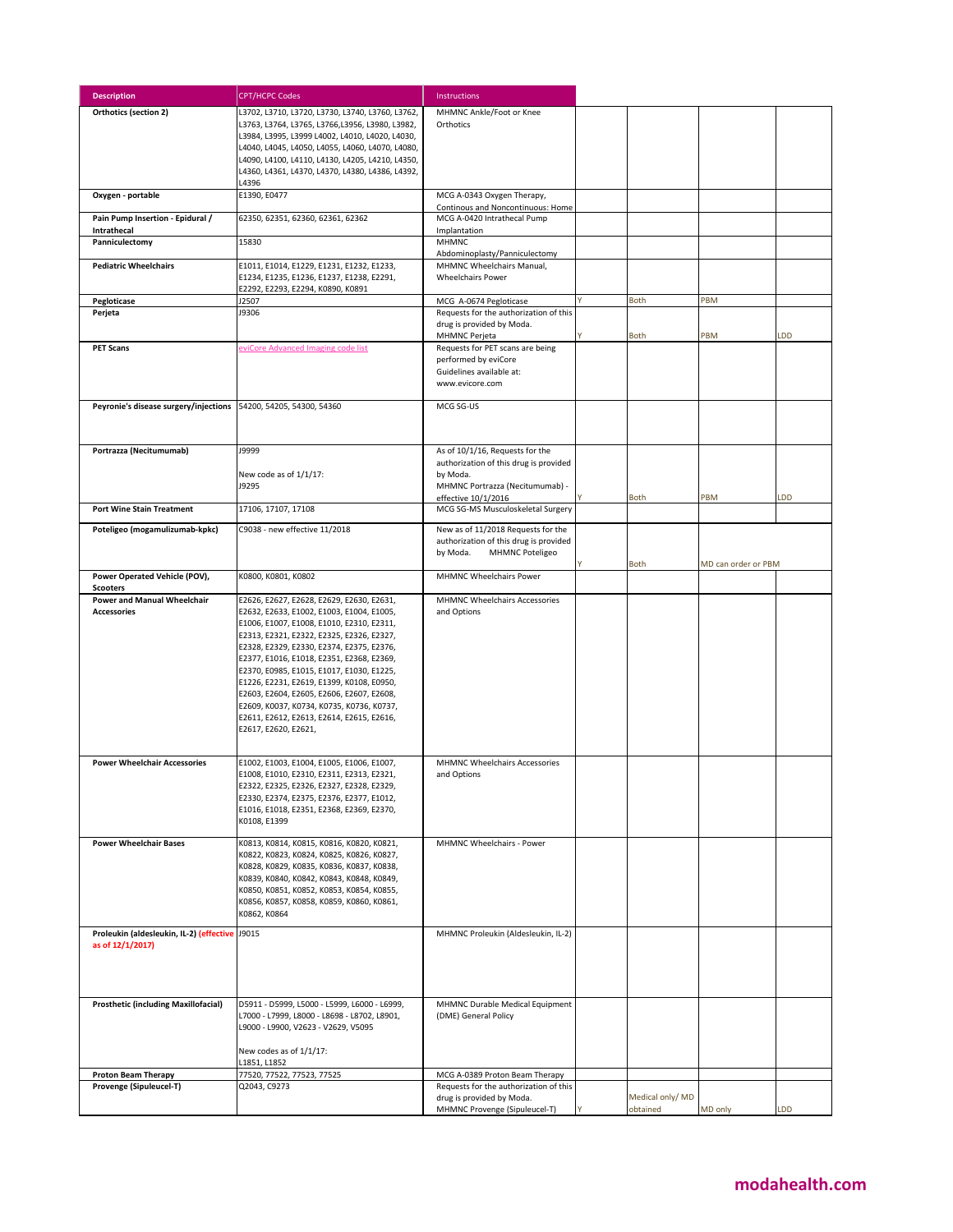| <b>Description</b>                                                          | <b>CPT/HCPC Codes</b>                                                                                                                                                                                                                                                                                                                                                                                                                                                                                                               | Instructions                                                                                                                                    |                              |                     |     |
|-----------------------------------------------------------------------------|-------------------------------------------------------------------------------------------------------------------------------------------------------------------------------------------------------------------------------------------------------------------------------------------------------------------------------------------------------------------------------------------------------------------------------------------------------------------------------------------------------------------------------------|-------------------------------------------------------------------------------------------------------------------------------------------------|------------------------------|---------------------|-----|
| Orthotics (section 2)                                                       | L3702, L3710, L3720, L3730, L3740, L3760, L3762,<br>L3763, L3764, L3765, L3766,L3956, L3980, L3982,<br>L3984, L3995, L3999 L4002, L4010, L4020, L4030,<br>L4040, L4045, L4050, L4055, L4060, L4070, L4080,<br>L4090, L4100, L4110, L4130, L4205, L4210, L4350,<br>L4360, L4361, L4370, L4370, L4380, L4386, L4392,<br>L4396                                                                                                                                                                                                         | MHMNC Ankle/Foot or Knee<br>Orthotics                                                                                                           |                              |                     |     |
| Oxygen - portable                                                           | E1390, E0477                                                                                                                                                                                                                                                                                                                                                                                                                                                                                                                        | MCG A-0343 Oxygen Therapy,<br>Continous and Noncontinuous: Home                                                                                 |                              |                     |     |
| Pain Pump Insertion - Epidural /<br>Intrathecal                             | 62350, 62351, 62360, 62361, 62362                                                                                                                                                                                                                                                                                                                                                                                                                                                                                                   | MCG A-0420 Intrathecal Pump<br>Implantation                                                                                                     |                              |                     |     |
| Panniculectomy                                                              | 15830                                                                                                                                                                                                                                                                                                                                                                                                                                                                                                                               | <b>MHMNC</b><br>Abdominoplasty/Panniculectomy                                                                                                   |                              |                     |     |
| <b>Pediatric Wheelchairs</b>                                                | E1011, E1014, E1229, E1231, E1232, E1233,<br>E1234, E1235, E1236, E1237, E1238, E2291,<br>E2292, E2293, E2294, K0890, K0891                                                                                                                                                                                                                                                                                                                                                                                                         | MHMNC Wheelchairs Manual,<br><b>Wheelchairs Power</b>                                                                                           |                              |                     |     |
| Pegloticase                                                                 | J2507                                                                                                                                                                                                                                                                                                                                                                                                                                                                                                                               | MCG A-0674 Pegloticase                                                                                                                          | <b>Both</b>                  | PBM                 |     |
| Perjeta                                                                     | J9306                                                                                                                                                                                                                                                                                                                                                                                                                                                                                                                               | Requests for the authorization of this<br>drug is provided by Moda.<br><b>MHMNC Perjeta</b>                                                     | <b>Both</b>                  | PBM                 | LDD |
| <b>PET Scans</b>                                                            | eviCore Advanced Imaging code list                                                                                                                                                                                                                                                                                                                                                                                                                                                                                                  | Requests for PET scans are being<br>performed by eviCore<br>Guidelines available at:<br>www.evicore.com                                         |                              |                     |     |
| Peyronie's disease surgery/injections                                       | 54200, 54205, 54300, 54360                                                                                                                                                                                                                                                                                                                                                                                                                                                                                                          | MCG SG-US                                                                                                                                       |                              |                     |     |
| Portrazza (Necitumumab)                                                     | J9999<br>New code as of 1/1/17:<br>J9295                                                                                                                                                                                                                                                                                                                                                                                                                                                                                            | As of 10/1/16, Requests for the<br>authorization of this drug is provided<br>by Moda.<br>MHMNC Portrazza (Necitumumab) -<br>effective 10/1/2016 | <b>Both</b>                  | PBM                 | LDD |
| <b>Port Wine Stain Treatment</b>                                            | 17106, 17107, 17108                                                                                                                                                                                                                                                                                                                                                                                                                                                                                                                 | MCG SG-MS Musculoskeletal Surgery                                                                                                               |                              |                     |     |
| Poteligeo (mogamulizumab-kpkc)                                              | C9038 - new effective 11/2018                                                                                                                                                                                                                                                                                                                                                                                                                                                                                                       | New as of 11/2018 Requests for the<br>authorization of this drug is provided<br>by Moda.<br><b>MHMNC Poteligeo</b>                              |                              |                     |     |
| Power Operated Vehicle (POV),                                               | K0800, K0801, K0802                                                                                                                                                                                                                                                                                                                                                                                                                                                                                                                 | <b>MHMNC Wheelchairs Power</b>                                                                                                                  | Both                         | MD can order or PBM |     |
| <b>Scooters</b><br><b>Power and Manual Wheelchair</b><br><b>Accessories</b> | E2626, E2627, E2628, E2629, E2630, E2631,<br>E2632, E2633, E1002, E1003, E1004, E1005,<br>E1006, E1007, E1008, E1010, E2310, E2311,<br>E2313, E2321, E2322, E2325, E2326, E2327,<br>E2328, E2329, E2330, E2374, E2375, E2376,<br>E2377, E1016, E1018, E2351, E2368, E2369,<br>E2370, E0985, E1015, E1017, E1030, E1225,<br>E1226, E2231, E2619, E1399, K0108, E0950,<br>E2603, E2604, E2605, E2606, E2607, E2608,<br>E2609, K0037, K0734, K0735, K0736, K0737,<br>E2611, E2612, E2613, E2614, E2615, E2616,<br>E2617, E2620, E2621, | MHMNC Wheelchairs Accessories<br>and Options                                                                                                    |                              |                     |     |
| <b>Power Wheelchair Accessories</b>                                         | E1002, E1003, E1004, E1005, E1006, E1007,<br>E1008, E1010, E2310, E2311, E2313, E2321,<br>E2322, E2325, E2326, E2327, E2328, E2329,<br>E2330, E2374, E2375, E2376, E2377, E1012,<br>E1016, E1018, E2351, E2368, E2369, E2370,<br>K0108, E1399                                                                                                                                                                                                                                                                                       | <b>MHMNC Wheelchairs Accessories</b><br>and Options                                                                                             |                              |                     |     |
| <b>Power Wheelchair Bases</b>                                               | K0813, K0814, K0815, K0816, K0820, K0821,<br>K0822, K0823, K0824, K0825, K0826, K0827,<br>K0828, K0829, K0835, K0836, K0837, K0838,<br>K0839, K0840, K0842, K0843, K0848, K0849,<br>K0850, K0851, K0852, K0853, K0854, K0855,<br>K0856, K0857, K0858, K0859, K0860, K0861,<br>K0862, K0864                                                                                                                                                                                                                                          | MHMNC Wheelchairs - Power                                                                                                                       |                              |                     |     |
| Proleukin (aldesleukin, IL-2) (effective<br>as of 12/1/2017)                | J9015                                                                                                                                                                                                                                                                                                                                                                                                                                                                                                                               | MHMNC Proleukin (Aldesleukin, IL-2)                                                                                                             |                              |                     |     |
| <b>Prosthetic (including Maxillofacial)</b>                                 | D5911 - D5999, L5000 - L5999, L6000 - L6999,<br>L7000 - L7999, L8000 - L8698 - L8702, L8901,<br>L9000 - L9900, V2623 - V2629, V5095<br>New codes as of 1/1/17:<br>L1851, L1852                                                                                                                                                                                                                                                                                                                                                      | MHMNC Durable Medical Equipment<br>(DME) General Policy                                                                                         |                              |                     |     |
| <b>Proton Beam Therapy</b>                                                  | 77520, 77522, 77523, 77525                                                                                                                                                                                                                                                                                                                                                                                                                                                                                                          | MCG A-0389 Proton Beam Therapy                                                                                                                  |                              |                     |     |
| Provenge (Sipuleucel-T)                                                     | Q2043, C9273                                                                                                                                                                                                                                                                                                                                                                                                                                                                                                                        | Requests for the authorization of this                                                                                                          |                              |                     |     |
|                                                                             |                                                                                                                                                                                                                                                                                                                                                                                                                                                                                                                                     | drug is provided by Moda.<br>MHMNC Provenge (Sipuleucel-T)                                                                                      | Medical only/ MD<br>obtained | MD only             | LDD |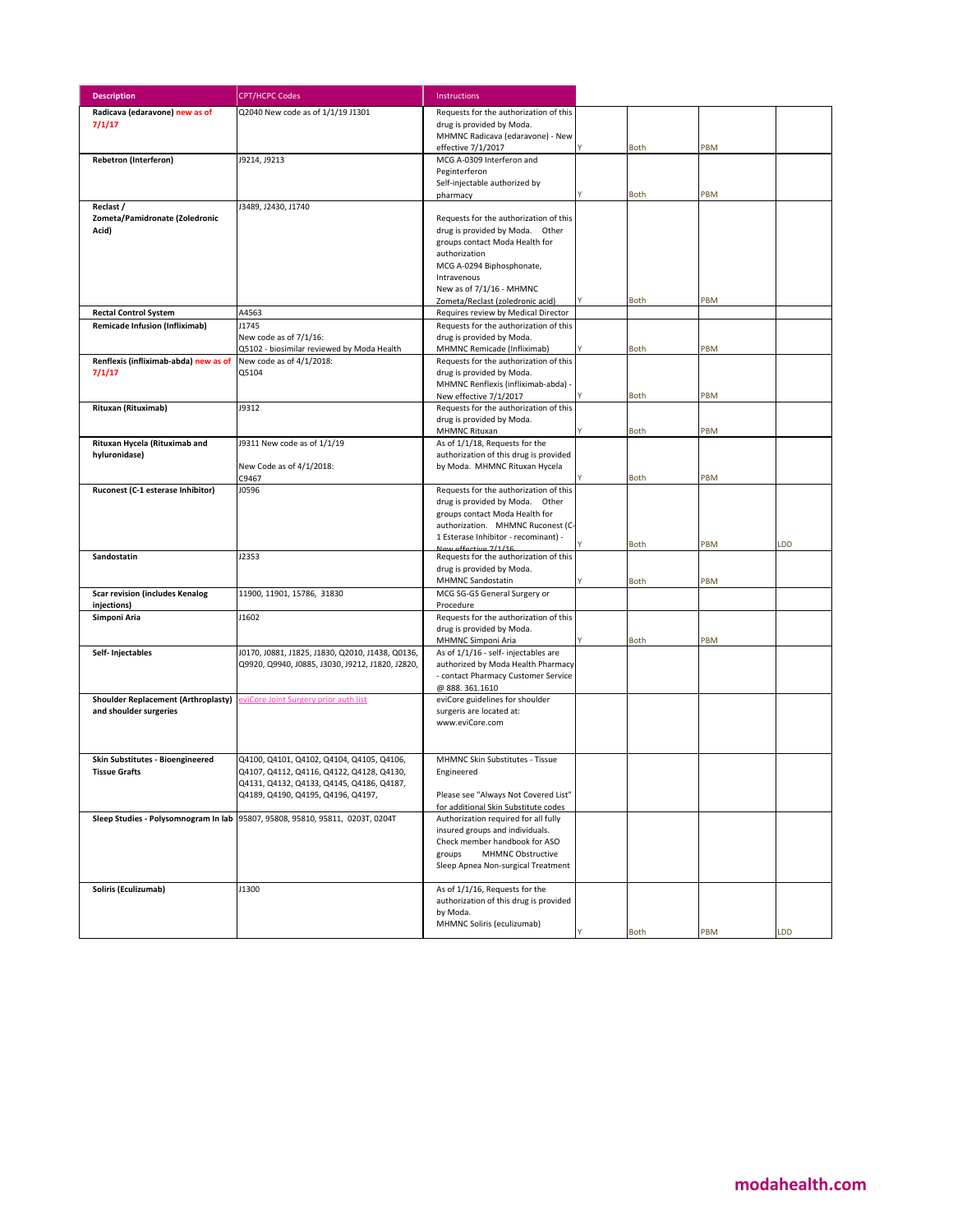| <b>Description</b>                                                        | <b>CPT/HCPC Codes</b>                                                                                | Instructions                                                               |             |     |     |
|---------------------------------------------------------------------------|------------------------------------------------------------------------------------------------------|----------------------------------------------------------------------------|-------------|-----|-----|
| Radicava (edaravone) new as of                                            | Q2040 New code as of 1/1/19 J1301                                                                    | Requests for the authorization of this                                     |             |     |     |
| 7/1/17                                                                    |                                                                                                      | drug is provided by Moda.                                                  |             |     |     |
|                                                                           |                                                                                                      | MHMNC Radicava (edaravone) - New<br>effective 7/1/2017                     | <b>Both</b> | PBM |     |
| Rebetron (Interferon)                                                     | J9214, J9213                                                                                         | MCG A-0309 Interferon and                                                  |             |     |     |
|                                                                           |                                                                                                      | Peginterferon                                                              |             |     |     |
|                                                                           |                                                                                                      | Self-injectable authorized by                                              |             |     |     |
|                                                                           |                                                                                                      | pharmacy                                                                   | <b>Both</b> | PBM |     |
| Reclast /                                                                 | J3489, J2430, J1740                                                                                  | Requests for the authorization of this                                     |             |     |     |
| Zometa/Pamidronate (Zoledronic<br>Acid)                                   |                                                                                                      | drug is provided by Moda. Other                                            |             |     |     |
|                                                                           |                                                                                                      | groups contact Moda Health for                                             |             |     |     |
|                                                                           |                                                                                                      | authorization                                                              |             |     |     |
|                                                                           |                                                                                                      | MCG A-0294 Biphosphonate,                                                  |             |     |     |
|                                                                           |                                                                                                      | Intravenous<br>New as of 7/1/16 - MHMNC                                    |             |     |     |
|                                                                           |                                                                                                      | Zometa/Reclast (zoledronic acid)                                           | Both        | PBM |     |
| <b>Rectal Control System</b>                                              | A4563                                                                                                | Requires review by Medical Director                                        |             |     |     |
| Remicade Infusion (Infliximab)                                            | J1745                                                                                                | Requests for the authorization of this                                     |             |     |     |
|                                                                           | New code as of 7/1/16:                                                                               | drug is provided by Moda.                                                  |             |     |     |
|                                                                           | Q5102 - biosimilar reviewed by Moda Health                                                           | MHMNC Remicade (Infliximab)                                                | <b>Both</b> | PBM |     |
| Renflexis (infliximab-abda) new as of<br>7/1/17                           | New code as of 4/1/2018:<br>Q5104                                                                    | Requests for the authorization of this<br>drug is provided by Moda.        |             |     |     |
|                                                                           |                                                                                                      | MHMNC Renflexis (infliximab-abda) -                                        |             |     |     |
|                                                                           |                                                                                                      | New effective 7/1/2017                                                     | <b>Both</b> | PBM |     |
| Rituxan (Rituximab)                                                       | J9312                                                                                                | Requests for the authorization of this                                     |             |     |     |
|                                                                           |                                                                                                      | drug is provided by Moda.<br>MHMNC Rituxan                                 | <b>Both</b> | PBM |     |
| Rituxan Hycela (Rituximab and                                             | J9311 New code as of 1/1/19                                                                          | As of 1/1/18, Requests for the                                             |             |     |     |
| hyluronidase)                                                             |                                                                                                      | authorization of this drug is provided                                     |             |     |     |
|                                                                           | New Code as of 4/1/2018:                                                                             | by Moda. MHMNC Rituxan Hycela                                              |             |     |     |
|                                                                           | C9467                                                                                                |                                                                            | Both        | PBM |     |
| Ruconest (C-1 esterase Inhibitor)                                         | J0596                                                                                                | Requests for the authorization of this<br>drug is provided by Moda. Other  |             |     |     |
|                                                                           |                                                                                                      | groups contact Moda Health for                                             |             |     |     |
|                                                                           |                                                                                                      | authorization. MHMNC Ruconest (C                                           |             |     |     |
|                                                                           |                                                                                                      | 1 Esterase Inhibitor - recominant) -<br>New effective 7/1/16               | <b>Both</b> | PBM | LDD |
| Sandostatin                                                               | J2353                                                                                                | Requests for the authorization of this                                     |             |     |     |
|                                                                           |                                                                                                      | drug is provided by Moda.                                                  |             |     |     |
|                                                                           |                                                                                                      | MHMNC Sandostatin                                                          | Both        | PBM |     |
| <b>Scar revision (includes Kenalog</b><br>injections)                     | 11900, 11901, 15786, 31830                                                                           | MCG SG-GS General Surgery or<br>Procedure                                  |             |     |     |
| Simponi Aria                                                              | J1602                                                                                                | Requests for the authorization of this                                     |             |     |     |
|                                                                           |                                                                                                      | drug is provided by Moda.                                                  |             |     |     |
|                                                                           |                                                                                                      | MHMNC Simponi Aria                                                         | <b>Both</b> | PBM |     |
| Self- Injectables                                                         | J0170, J0881, J1825, J1830, Q2010, J1438, Q0136,<br>Q9920, Q9940, J0885, J3030, J9212, J1820, J2820, | As of 1/1/16 - self- injectables are<br>authorized by Moda Health Pharmacy |             |     |     |
|                                                                           |                                                                                                      | - contact Pharmacy Customer Service                                        |             |     |     |
|                                                                           |                                                                                                      | @888.361.1610                                                              |             |     |     |
| Shoulder Replacement (Arthroplasty) eviCore Joint Surgery prior auth list |                                                                                                      | eviCore guidelines for shoulder                                            |             |     |     |
| and shoulder surgeries                                                    |                                                                                                      | surgeris are located at:<br>www.eviCore.com                                |             |     |     |
|                                                                           |                                                                                                      |                                                                            |             |     |     |
|                                                                           |                                                                                                      |                                                                            |             |     |     |
| Skin Substitutes - Bioengineered                                          | Q4100, Q4101, Q4102, Q4104, Q4105, Q4106,                                                            | MHMNC Skin Substitutes - Tissue                                            |             |     |     |
| <b>Tissue Grafts</b>                                                      | Q4107, Q4112, Q4116, Q4122, Q4128, Q4130,                                                            | Engineered                                                                 |             |     |     |
|                                                                           | Q4131, Q4132, Q4133, Q4145, Q4186, Q4187,<br>Q4189, Q4190, Q4195, Q4196, Q4197,                      | Please see "Always Not Covered List"                                       |             |     |     |
|                                                                           |                                                                                                      | for additional Skin Substitute codes                                       |             |     |     |
| Sleep Studies - Polysomnogram In lab                                      | 95807, 95808, 95810, 95811, 0203T, 0204T                                                             | Authorization required for all fully                                       |             |     |     |
|                                                                           |                                                                                                      | insured groups and individuals.                                            |             |     |     |
|                                                                           |                                                                                                      | Check member handbook for ASO<br>groups<br><b>MHMNC Obstructive</b>        |             |     |     |
|                                                                           |                                                                                                      | Sleep Apnea Non-surgical Treatment                                         |             |     |     |
|                                                                           |                                                                                                      |                                                                            |             |     |     |
| Soliris (Eculizumab)                                                      | J1300                                                                                                | As of 1/1/16, Requests for the                                             |             |     |     |
|                                                                           |                                                                                                      | authorization of this drug is provided                                     |             |     |     |
|                                                                           |                                                                                                      | by Moda.<br>MHMNC Soliris (eculizumab)                                     |             |     |     |
|                                                                           |                                                                                                      |                                                                            | Both        | PBM | LDD |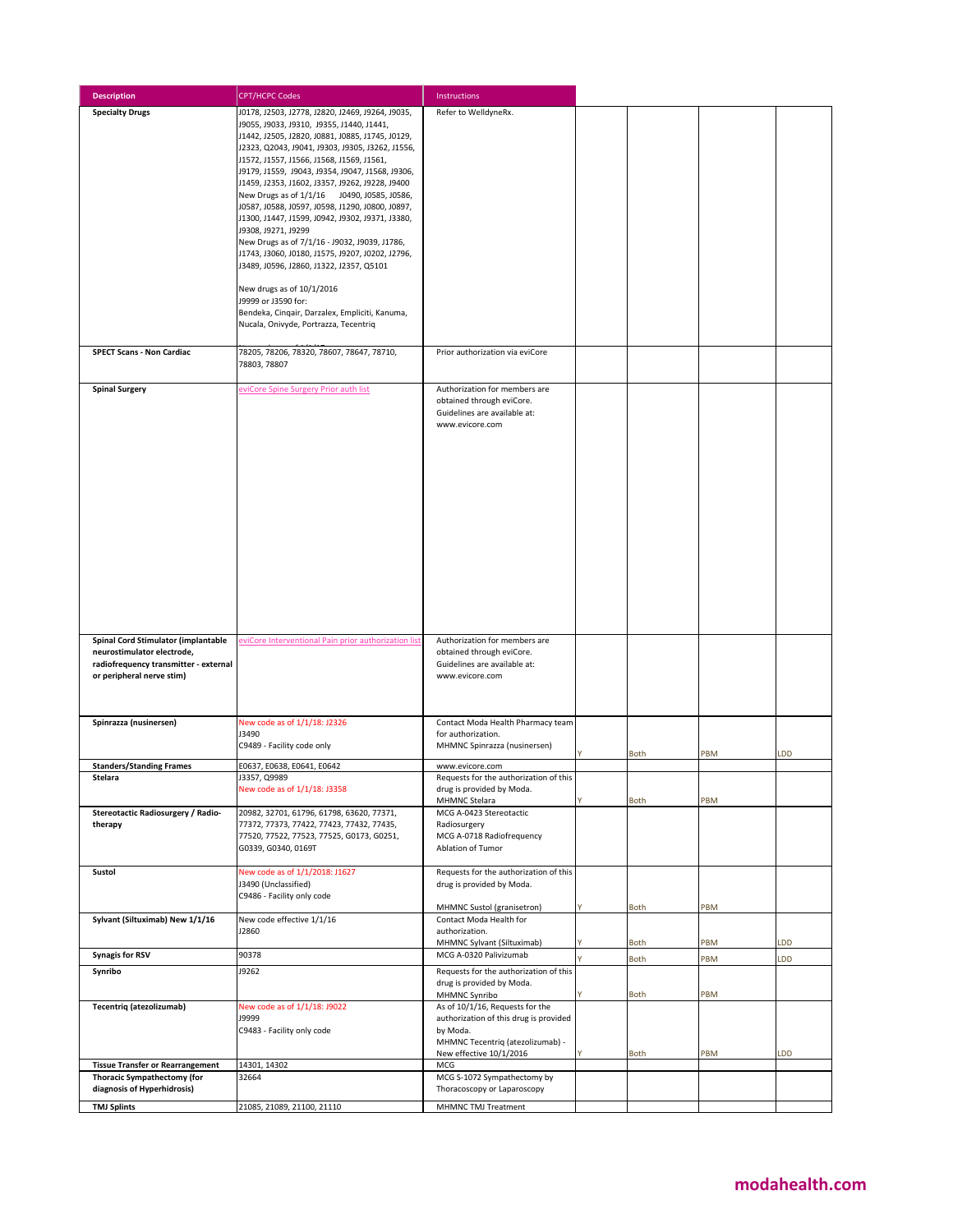| <b>Description</b>                                                                                                                      | <b>CPT/HCPC Codes</b>                                                                                                                                                                                                                                                                                                                                                                                                                                                                                                                                                                                                                                                                                                                                                                                                                   | Instructions                                                                                                                                                          |              |            |     |
|-----------------------------------------------------------------------------------------------------------------------------------------|-----------------------------------------------------------------------------------------------------------------------------------------------------------------------------------------------------------------------------------------------------------------------------------------------------------------------------------------------------------------------------------------------------------------------------------------------------------------------------------------------------------------------------------------------------------------------------------------------------------------------------------------------------------------------------------------------------------------------------------------------------------------------------------------------------------------------------------------|-----------------------------------------------------------------------------------------------------------------------------------------------------------------------|--------------|------------|-----|
| <b>Specialty Drugs</b>                                                                                                                  | J0178, J2503, J2778, J2820, J2469, J9264, J9035,<br>J9055, J9033, J9310, J9355, J1440, J1441,<br>J1442, J2505, J2820, J0881, J0885, J1745, J0129,<br>J2323, Q2043, J9041, J9303, J9305, J3262, J1556,<br>J1572, J1557, J1566, J1568, J1569, J1561,<br>J9179, J1559, J9043, J9354, J9047, J1568, J9306,<br>J1459, J2353, J1602, J3357, J9262, J9228, J9400<br>New Drugs as of 1/1/16 J0490, J0585, J0586,<br>J0587, J0588, J0597, J0598, J1290, J0800, J0897,<br>J1300, J1447, J1599, J0942, J9302, J9371, J3380,<br>J9308, J9271, J9299<br>New Drugs as of 7/1/16 - J9032, J9039, J1786,<br>J1743, J3060, J0180, J1575, J9207, J0202, J2796,<br>J3489, J0596, J2860, J1322, J2357, Q5101<br>New drugs as of 10/1/2016<br>J9999 or J3590 for:<br>Bendeka, Cinqair, Darzalex, Empliciti, Kanuma,<br>Nucala, Onivyde, Portrazza, Tecentriq | Refer to WelldyneRx.                                                                                                                                                  |              |            |     |
| <b>SPECT Scans - Non Cardiac</b>                                                                                                        | 78205, 78206, 78320, 78607, 78647, 78710,<br>78803, 78807                                                                                                                                                                                                                                                                                                                                                                                                                                                                                                                                                                                                                                                                                                                                                                               | Prior authorization via eviCore                                                                                                                                       |              |            |     |
| <b>Spinal Surgery</b>                                                                                                                   | eviCore Spine Surgery Prior auth list                                                                                                                                                                                                                                                                                                                                                                                                                                                                                                                                                                                                                                                                                                                                                                                                   | Authorization for members are<br>obtained through eviCore.<br>Guidelines are available at:<br>www.evicore.com                                                         |              |            |     |
| Spinal Cord Stimulator (implantable<br>neurostimulator electrode,<br>radiofrequency transmitter - external<br>or peripheral nerve stim) | eviCore Interventional Pain prior authorization list                                                                                                                                                                                                                                                                                                                                                                                                                                                                                                                                                                                                                                                                                                                                                                                    | Authorization for members are<br>obtained through eviCore.<br>Guidelines are available at:<br>www.evicore.com                                                         |              |            |     |
| Spinrazza (nusinersen)                                                                                                                  | New code as of 1/1/18: J2326<br>J3490<br>C9489 - Facility code only                                                                                                                                                                                                                                                                                                                                                                                                                                                                                                                                                                                                                                                                                                                                                                     | Contact Moda Health Pharmacy team<br>for authorization.<br>MHMNC Spinrazza (nusinersen)                                                                               | <b>Both</b>  | PBM        | LDD |
| <b>Standers/Standing Frames</b>                                                                                                         | E0637, E0638, E0641, E0642                                                                                                                                                                                                                                                                                                                                                                                                                                                                                                                                                                                                                                                                                                                                                                                                              | www.evicore.com                                                                                                                                                       |              |            |     |
| Stelara                                                                                                                                 | J3357, Q9989<br>New code as of 1/1/18: J3358                                                                                                                                                                                                                                                                                                                                                                                                                                                                                                                                                                                                                                                                                                                                                                                            | Requests for the authorization of this<br>drug is provided by Moda.<br>MHMNC Stelara                                                                                  | <b>Both</b>  | PBM        |     |
| Stereotactic Radiosurgery / Radio-<br>therapy                                                                                           | 20982, 32701, 61796, 61798, 63620, 77371,<br>77372, 77373, 77422, 77423, 77432, 77435,<br>77520, 77522, 77523, 77525, G0173, G0251,<br>G0339, G0340, 0169T                                                                                                                                                                                                                                                                                                                                                                                                                                                                                                                                                                                                                                                                              | MCG A-0423 Stereotactic<br>Radiosurgery<br>MCG A-0718 Radiofrequency<br>Ablation of Tumor                                                                             |              |            |     |
| Sustol                                                                                                                                  | New code as of 1/1/2018: J1627<br>J3490 (Unclassified)<br>C9486 - Facility only code                                                                                                                                                                                                                                                                                                                                                                                                                                                                                                                                                                                                                                                                                                                                                    | Requests for the authorization of this<br>drug is provided by Moda.<br>MHMNC Sustol (granisetron)                                                                     | Both         | PBM        |     |
| Sylvant (Siltuximab) New 1/1/16                                                                                                         | New code effective 1/1/16<br>J2860                                                                                                                                                                                                                                                                                                                                                                                                                                                                                                                                                                                                                                                                                                                                                                                                      | Contact Moda Health for<br>authorization.                                                                                                                             |              |            |     |
| <b>Synagis for RSV</b>                                                                                                                  | 90378                                                                                                                                                                                                                                                                                                                                                                                                                                                                                                                                                                                                                                                                                                                                                                                                                                   | MHMNC Sylvant (Siltuximab)<br>MCG A-0320 Palivizumab                                                                                                                  | <b>Both</b>  | PBM        | LDD |
| Synribo                                                                                                                                 | J9262                                                                                                                                                                                                                                                                                                                                                                                                                                                                                                                                                                                                                                                                                                                                                                                                                                   | Requests for the authorization of this<br>drug is provided by Moda.                                                                                                   | Both         | PBM        | LDD |
| Tecentriq (atezolizumab)                                                                                                                | New code as of 1/1/18: J9022<br><b>19999</b><br>C9483 - Facility only code                                                                                                                                                                                                                                                                                                                                                                                                                                                                                                                                                                                                                                                                                                                                                              | MHMNC Synribo<br>As of 10/1/16, Requests for the<br>authorization of this drug is provided<br>by Moda.<br>MHMNC Tecentriq (atezolizumab) -<br>New effective 10/1/2016 | Both<br>Both | PBM<br>PBM | LDD |
| <b>Tissue Transfer or Rearrangement</b><br>Thoracic Sympathectomy (for                                                                  | 14301, 14302<br>32664                                                                                                                                                                                                                                                                                                                                                                                                                                                                                                                                                                                                                                                                                                                                                                                                                   | MCG<br>MCG S-1072 Sympathectomy by                                                                                                                                    |              |            |     |
| diagnosis of Hyperhidrosis)                                                                                                             |                                                                                                                                                                                                                                                                                                                                                                                                                                                                                                                                                                                                                                                                                                                                                                                                                                         | Thoracoscopy or Laparoscopy                                                                                                                                           |              |            |     |
| <b>TMJ Splints</b>                                                                                                                      | 21085, 21089, 21100, 21110                                                                                                                                                                                                                                                                                                                                                                                                                                                                                                                                                                                                                                                                                                                                                                                                              | MHMNC TMJ Treatment                                                                                                                                                   |              |            |     |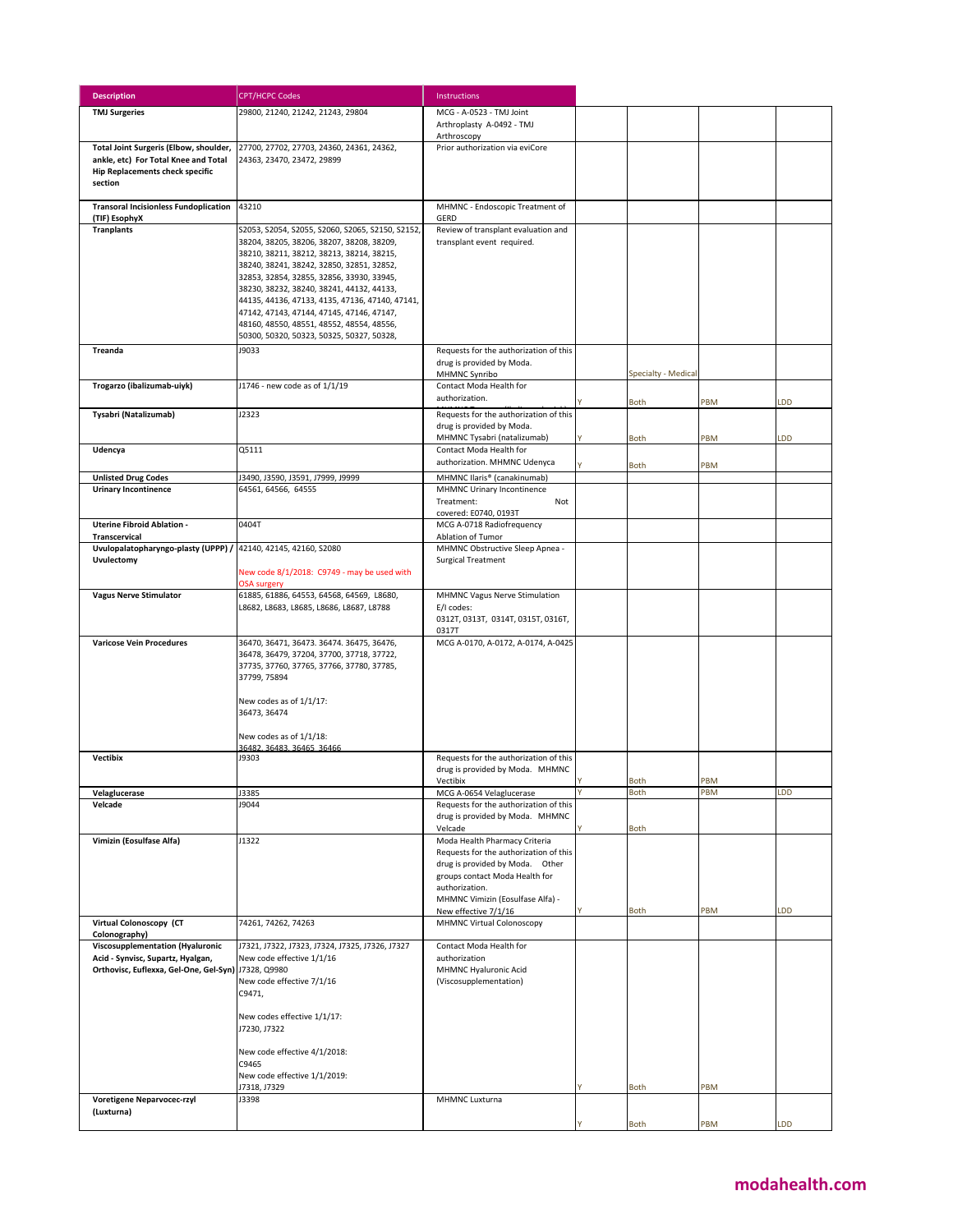| <b>Description</b>                                                                                                                  | <b>CPT/HCPC Codes</b>                                                                                                                                                                                                                                                                                                                                                                                                                                                       | Instructions                                                                                                                                                                                                               |                     |     |           |
|-------------------------------------------------------------------------------------------------------------------------------------|-----------------------------------------------------------------------------------------------------------------------------------------------------------------------------------------------------------------------------------------------------------------------------------------------------------------------------------------------------------------------------------------------------------------------------------------------------------------------------|----------------------------------------------------------------------------------------------------------------------------------------------------------------------------------------------------------------------------|---------------------|-----|-----------|
| <b>TMJ Surgeries</b>                                                                                                                | 29800, 21240, 21242, 21243, 29804                                                                                                                                                                                                                                                                                                                                                                                                                                           | MCG - A-0523 - TMJ Joint<br>Arthroplasty A-0492 - TMJ                                                                                                                                                                      |                     |     |           |
| Total Joint Surgeris (Elbow, shoulder,<br>ankle, etc) For Total Knee and Total<br><b>Hip Replacements check specific</b><br>section | 27700, 27702, 27703, 24360, 24361, 24362,<br>24363, 23470, 23472, 29899                                                                                                                                                                                                                                                                                                                                                                                                     | Arthroscopy<br>Prior authorization via eviCore                                                                                                                                                                             |                     |     |           |
| <b>Transoral Incisionless Fundoplication</b><br>(TIF) EsophyX                                                                       | 43210                                                                                                                                                                                                                                                                                                                                                                                                                                                                       | MHMNC - Endoscopic Treatment of<br>GERD                                                                                                                                                                                    |                     |     |           |
| <b>Tranplants</b>                                                                                                                   | S2053, S2054, S2055, S2060, S2065, S2150, S2152,<br>38204, 38205, 38206, 38207, 38208, 38209,<br>38210, 38211, 38212, 38213, 38214, 38215,<br>38240, 38241, 38242, 32850, 32851, 32852,<br>32853, 32854, 32855, 32856, 33930, 33945,<br>38230, 38232, 38240, 38241, 44132, 44133,<br>44135, 44136, 47133, 4135, 47136, 47140, 47141,<br>47142, 47143, 47144, 47145, 47146, 47147,<br>48160, 48550, 48551, 48552, 48554, 48556,<br>50300, 50320, 50323, 50325, 50327, 50328, | Review of transplant evaluation and<br>transplant event required.                                                                                                                                                          |                     |     |           |
| <b>Treanda</b>                                                                                                                      | J9033                                                                                                                                                                                                                                                                                                                                                                                                                                                                       | Requests for the authorization of this<br>drug is provided by Moda.<br>MHMNC Synribo                                                                                                                                       | Specialty - Medical |     |           |
| Trogarzo (ibalizumab-uiyk)                                                                                                          | J1746 - new code as of 1/1/19                                                                                                                                                                                                                                                                                                                                                                                                                                               | Contact Moda Health for<br>authorization.                                                                                                                                                                                  | <b>Both</b>         | PBM | <b>DD</b> |
| Tysabri (Natalizumab)                                                                                                               | J2323                                                                                                                                                                                                                                                                                                                                                                                                                                                                       | Requests for the authorization of this<br>drug is provided by Moda.<br>MHMNC Tysabri (natalizumab)                                                                                                                         | <b>Both</b>         | PBM | <b>DD</b> |
| Udencya                                                                                                                             | Q5111                                                                                                                                                                                                                                                                                                                                                                                                                                                                       | Contact Moda Health for<br>authorization. MHMNC Udenyca                                                                                                                                                                    |                     |     |           |
| <b>Unlisted Drug Codes</b>                                                                                                          | J3490, J3590, J3591, J7999, J9999                                                                                                                                                                                                                                                                                                                                                                                                                                           | MHMNC Ilaris® (canakinumab)                                                                                                                                                                                                | <b>Both</b>         | PBM |           |
| <b>Urinary Incontinence</b>                                                                                                         | 64561, 64566, 64555                                                                                                                                                                                                                                                                                                                                                                                                                                                         | MHMNC Urinary Incontinence<br>Treatment:<br>Not<br>covered: E0740, 0193T                                                                                                                                                   |                     |     |           |
| <b>Uterine Fibroid Ablation -</b><br><b>Transcervical</b>                                                                           | 0404T                                                                                                                                                                                                                                                                                                                                                                                                                                                                       | MCG A-0718 Radiofrequency<br>Ablation of Tumor                                                                                                                                                                             |                     |     |           |
| Uvulopalatopharyngo-plasty (UPPP) / 42140, 42145, 42160, S2080<br>Uvulectomy                                                        |                                                                                                                                                                                                                                                                                                                                                                                                                                                                             | MHMNC Obstructive Sleep Apnea -<br><b>Surgical Treatment</b>                                                                                                                                                               |                     |     |           |
|                                                                                                                                     | New code 8/1/2018: C9749 - may be used with<br><b>OSA surgery</b>                                                                                                                                                                                                                                                                                                                                                                                                           |                                                                                                                                                                                                                            |                     |     |           |
| <b>Vagus Nerve Stimulator</b>                                                                                                       | 61885, 61886, 64553, 64568, 64569, L8680,<br>L8682, L8683, L8685, L8686, L8687, L8788                                                                                                                                                                                                                                                                                                                                                                                       | MHMNC Vagus Nerve Stimulation<br>E/I codes:<br>0312T, 0313T, 0314T, 0315T, 0316T,<br>0317T                                                                                                                                 |                     |     |           |
| <b>Varicose Vein Procedures</b>                                                                                                     | 36470, 36471, 36473. 36474. 36475, 36476,<br>36478, 36479, 37204, 37700, 37718, 37722,<br>37735, 37760, 37765, 37766, 37780, 37785,<br>37799, 75894<br>New codes as of 1/1/17:<br>36473, 36474<br>New codes as of 1/1/18:<br>36482, 36483, 36465, 36466                                                                                                                                                                                                                     | MCG A-0170, A-0172, A-0174, A-0425                                                                                                                                                                                         |                     |     |           |
| <b>Vectibix</b>                                                                                                                     | J9303                                                                                                                                                                                                                                                                                                                                                                                                                                                                       | Requests for the authorization of this<br>drug is provided by Moda. MHMNC<br>Vectibiy                                                                                                                                      | <b>Both</b>         | PBM |           |
| Velaglucerase                                                                                                                       | J3385                                                                                                                                                                                                                                                                                                                                                                                                                                                                       | MCG A-0654 Velaglucerase                                                                                                                                                                                                   | Both                | PBM | LDD       |
| Velcade                                                                                                                             | J9044                                                                                                                                                                                                                                                                                                                                                                                                                                                                       | Requests for the authorization of this<br>drug is provided by Moda. MHMNC<br>Velcade                                                                                                                                       | <b>Both</b>         |     |           |
| Vimizin (Eosulfase Alfa)                                                                                                            | J1322                                                                                                                                                                                                                                                                                                                                                                                                                                                                       | Moda Health Pharmacy Criteria<br>Requests for the authorization of this<br>drug is provided by Moda. Other<br>groups contact Moda Health for<br>authorization.<br>MHMNC Vimizin (Eosulfase Alfa) -<br>New effective 7/1/16 | <b>Both</b>         | PBM | LDD       |
| Virtual Colonoscopy (CT                                                                                                             | 74261, 74262, 74263                                                                                                                                                                                                                                                                                                                                                                                                                                                         | <b>MHMNC Virtual Colonoscopy</b>                                                                                                                                                                                           |                     |     |           |
| Colonography)<br>Viscosupplementation (Hyaluronic<br>Acid - Synvisc, Supartz, Hyalgan,<br>Orthovisc, Euflexxa, Gel-One, Gel-Syn)    | J7321, J7322, J7323, J7324, J7325, J7326, J7327<br>New code effective 1/1/16<br>J7328, Q9980<br>New code effective 7/1/16<br>C9471,<br>New codes effective 1/1/17:<br>J7230, J7322<br>New code effective 4/1/2018:<br>C9465<br>New code effective 1/1/2019:<br>J7318, J7329                                                                                                                                                                                                 | Contact Moda Health for<br>authorization<br>MHMNC Hyaluronic Acid<br>(Viscosupplementation)                                                                                                                                |                     |     |           |
| Voretigene Neparvocec-rzyl                                                                                                          | J3398                                                                                                                                                                                                                                                                                                                                                                                                                                                                       | MHMNC Luxturna                                                                                                                                                                                                             | <b>Both</b>         | PBM |           |
| (Luxturna)                                                                                                                          |                                                                                                                                                                                                                                                                                                                                                                                                                                                                             |                                                                                                                                                                                                                            | <b>Both</b>         | PBM | LDD       |